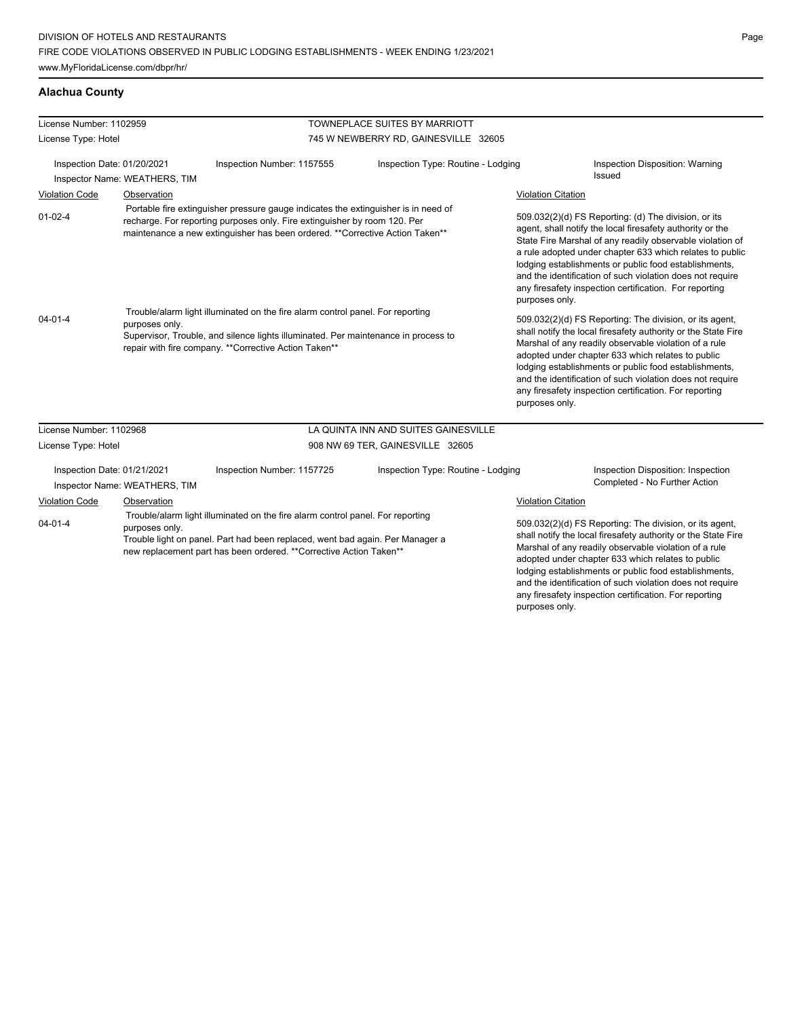# **Alachua County**

| License Number: 1102959                |                               |                                                                                                                                                                                                                                                 | TOWNEPLACE SUITES BY MARRIOTT        |                                                                                                                                                                                                                                                                                                                                                                                                                                                     |  |
|----------------------------------------|-------------------------------|-------------------------------------------------------------------------------------------------------------------------------------------------------------------------------------------------------------------------------------------------|--------------------------------------|-----------------------------------------------------------------------------------------------------------------------------------------------------------------------------------------------------------------------------------------------------------------------------------------------------------------------------------------------------------------------------------------------------------------------------------------------------|--|
| License Type: Hotel                    |                               |                                                                                                                                                                                                                                                 | 745 W NEWBERRY RD, GAINESVILLE 32605 |                                                                                                                                                                                                                                                                                                                                                                                                                                                     |  |
| Inspection Date: 01/20/2021            | Inspector Name: WEATHERS, TIM | Inspection Number: 1157555                                                                                                                                                                                                                      | Inspection Type: Routine - Lodging   | Inspection Disposition: Warning<br>Issued                                                                                                                                                                                                                                                                                                                                                                                                           |  |
| <b>Violation Code</b>                  | Observation                   |                                                                                                                                                                                                                                                 |                                      | <b>Violation Citation</b>                                                                                                                                                                                                                                                                                                                                                                                                                           |  |
| $01-02-4$                              |                               | Portable fire extinguisher pressure gauge indicates the extinguisher is in need of<br>recharge. For reporting purposes only. Fire extinguisher by room 120. Per<br>maintenance a new extinguisher has been ordered. **Corrective Action Taken** |                                      | 509.032(2)(d) FS Reporting: (d) The division, or its<br>agent, shall notify the local firesafety authority or the<br>State Fire Marshal of any readily observable violation of<br>a rule adopted under chapter 633 which relates to public<br>lodging establishments or public food establishments,<br>and the identification of such violation does not require<br>any firesafety inspection certification. For reporting<br>purposes only.        |  |
| $04 - 01 - 4$<br>purposes only.        |                               | Trouble/alarm light illuminated on the fire alarm control panel. For reporting<br>Supervisor, Trouble, and silence lights illuminated. Per maintenance in process to<br>repair with fire company. ** Corrective Action Taken**                  |                                      | 509.032(2)(d) FS Reporting: The division, or its agent,<br>shall notify the local firesafety authority or the State Fire<br>Marshal of any readily observable violation of a rule<br>adopted under chapter 633 which relates to public<br>lodging establishments or public food establishments,<br>and the identification of such violation does not require<br>any firesafety inspection certification. For reporting<br>purposes only.            |  |
| License Number: 1102968                |                               |                                                                                                                                                                                                                                                 | LA QUINTA INN AND SUITES GAINESVILLE |                                                                                                                                                                                                                                                                                                                                                                                                                                                     |  |
| License Type: Hotel                    |                               |                                                                                                                                                                                                                                                 | 908 NW 69 TER, GAINESVILLE 32605     |                                                                                                                                                                                                                                                                                                                                                                                                                                                     |  |
| Inspection Date: 01/21/2021            | Inspector Name: WEATHERS, TIM | Inspection Number: 1157725                                                                                                                                                                                                                      | Inspection Type: Routine - Lodging   | Inspection Disposition: Inspection<br>Completed - No Further Action                                                                                                                                                                                                                                                                                                                                                                                 |  |
| <b>Violation Code</b><br>$04 - 01 - 4$ | Observation<br>purposes only. | Trouble/alarm light illuminated on the fire alarm control panel. For reporting<br>Trouble light on panel. Part had been replaced, went bad again. Per Manager a<br>new replacement part has been ordered. **Corrective Action Taken**           |                                      | <b>Violation Citation</b><br>509.032(2)(d) FS Reporting: The division, or its agent,<br>shall notify the local firesafety authority or the State Fire<br>Marshal of any readily observable violation of a rule<br>adopted under chapter 633 which relates to public<br>lodging establishments or public food establishments,<br>and the identification of such violation does not require<br>any firesafety inspection certification. For reporting |  |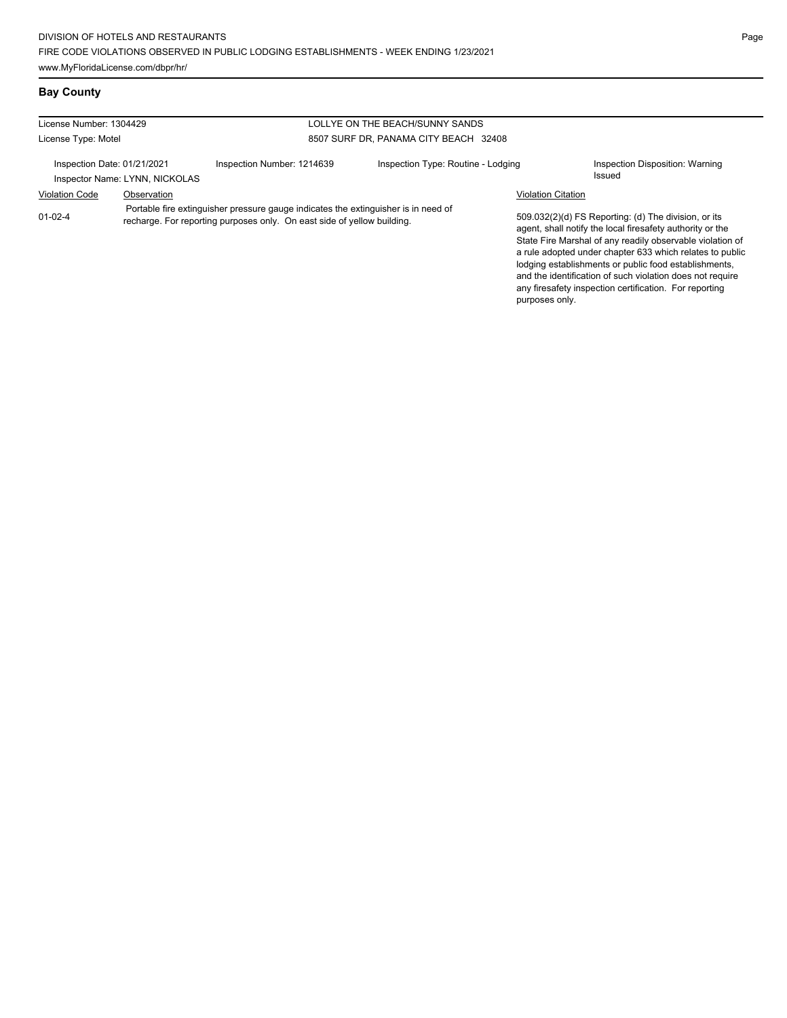# **Bay County**

| License Number: 1304429<br>LOLLYE ON THE BEACH/SUNNY SANDS |                                |                                                                                                                                                               |                                       |                           |                                                                                                                                                                                                                                                                                                                                                                  |
|------------------------------------------------------------|--------------------------------|---------------------------------------------------------------------------------------------------------------------------------------------------------------|---------------------------------------|---------------------------|------------------------------------------------------------------------------------------------------------------------------------------------------------------------------------------------------------------------------------------------------------------------------------------------------------------------------------------------------------------|
| License Type: Motel                                        |                                |                                                                                                                                                               | 8507 SURF DR, PANAMA CITY BEACH 32408 |                           |                                                                                                                                                                                                                                                                                                                                                                  |
| Inspection Date: 01/21/2021                                | Inspector Name: LYNN, NICKOLAS | Inspection Number: 1214639                                                                                                                                    | Inspection Type: Routine - Lodging    |                           | Inspection Disposition: Warning<br>Issued                                                                                                                                                                                                                                                                                                                        |
| <b>Violation Code</b>                                      | Observation                    |                                                                                                                                                               |                                       | <b>Violation Citation</b> |                                                                                                                                                                                                                                                                                                                                                                  |
| $01 - 02 - 4$                                              |                                | Portable fire extinguisher pressure gauge indicates the extinguisher is in need of<br>recharge. For reporting purposes only. On east side of yellow building. |                                       |                           | 509.032(2)(d) FS Reporting: (d) The division, or its<br>agent, shall notify the local firesafety authority or the<br>State Fire Marshal of any readily observable violation of<br>a rule adopted under chapter 633 which relates to public<br>lodging establishments or public food establishments,<br>and the identification of such violation does not require |

any firesafety inspection certification. For reporting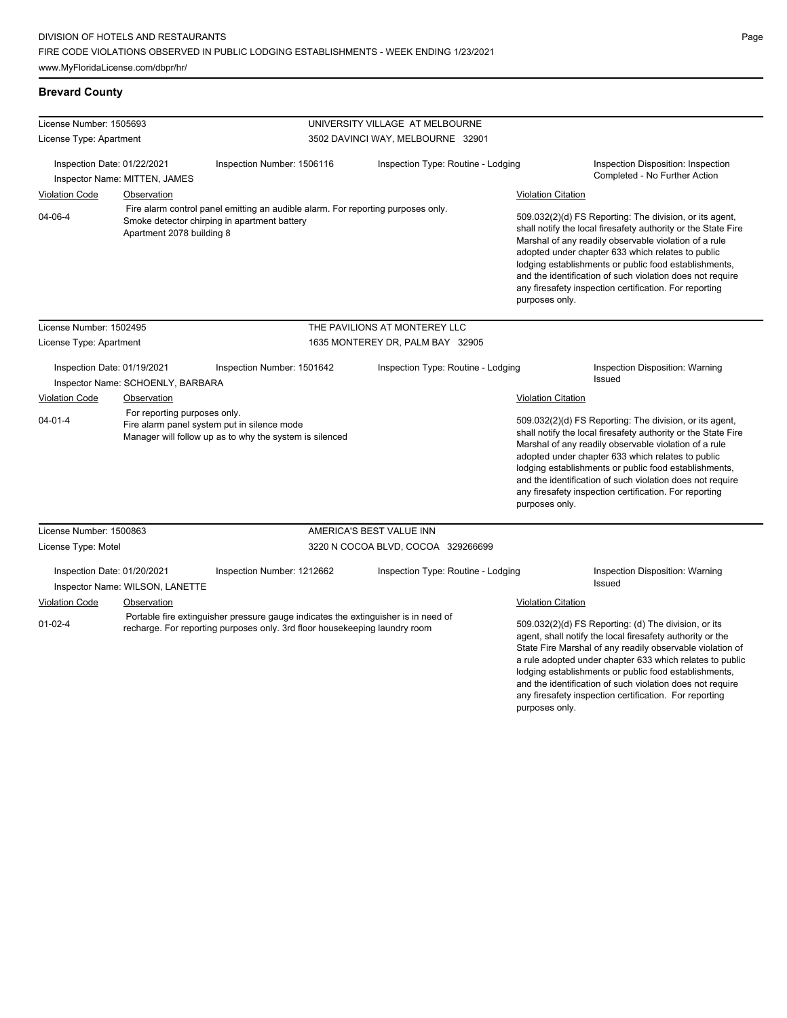www.MyFloridaLicense.com/dbpr/hr/

# **Brevard County**

| License Number: 1505693                                      |                                   |                                                                                                                                                                  | UNIVERSITY VILLAGE AT MELBOURNE    |                           |                                                                                                                                                                                                                                                                                                                                                                                                                            |
|--------------------------------------------------------------|-----------------------------------|------------------------------------------------------------------------------------------------------------------------------------------------------------------|------------------------------------|---------------------------|----------------------------------------------------------------------------------------------------------------------------------------------------------------------------------------------------------------------------------------------------------------------------------------------------------------------------------------------------------------------------------------------------------------------------|
| License Type: Apartment                                      |                                   |                                                                                                                                                                  | 3502 DAVINCI WAY, MELBOURNE 32901  |                           |                                                                                                                                                                                                                                                                                                                                                                                                                            |
| Inspection Date: 01/22/2021<br>Inspector Name: MITTEN, JAMES |                                   | Inspection Number: 1506116                                                                                                                                       | Inspection Type: Routine - Lodging |                           | Inspection Disposition: Inspection<br>Completed - No Further Action                                                                                                                                                                                                                                                                                                                                                        |
| <b>Violation Code</b>                                        | Observation                       |                                                                                                                                                                  |                                    | <b>Violation Citation</b> |                                                                                                                                                                                                                                                                                                                                                                                                                            |
| 04-06-4                                                      | Apartment 2078 building 8         | Fire alarm control panel emitting an audible alarm. For reporting purposes only.<br>Smoke detector chirping in apartment battery                                 |                                    | purposes only.            | 509.032(2)(d) FS Reporting: The division, or its agent,<br>shall notify the local firesafety authority or the State Fire<br>Marshal of any readily observable violation of a rule<br>adopted under chapter 633 which relates to public<br>lodging establishments or public food establishments,<br>and the identification of such violation does not require<br>any firesafety inspection certification. For reporting     |
| License Number: 1502495                                      |                                   |                                                                                                                                                                  | THE PAVILIONS AT MONTEREY LLC      |                           |                                                                                                                                                                                                                                                                                                                                                                                                                            |
| License Type: Apartment                                      |                                   |                                                                                                                                                                  | 1635 MONTEREY DR, PALM BAY 32905   |                           |                                                                                                                                                                                                                                                                                                                                                                                                                            |
| Inspection Date: 01/19/2021                                  | Inspector Name: SCHOENLY, BARBARA | Inspection Number: 1501642                                                                                                                                       | Inspection Type: Routine - Lodging |                           | Inspection Disposition: Warning<br><b>Issued</b>                                                                                                                                                                                                                                                                                                                                                                           |
| <b>Violation Code</b>                                        | Observation                       |                                                                                                                                                                  |                                    | <b>Violation Citation</b> |                                                                                                                                                                                                                                                                                                                                                                                                                            |
| $04 - 01 - 4$                                                | For reporting purposes only.      | Fire alarm panel system put in silence mode<br>Manager will follow up as to why the system is silenced                                                           |                                    | purposes only.            | 509.032(2)(d) FS Reporting: The division, or its agent,<br>shall notify the local firesafety authority or the State Fire<br>Marshal of any readily observable violation of a rule<br>adopted under chapter 633 which relates to public<br>lodging establishments or public food establishments,<br>and the identification of such violation does not require<br>any firesafety inspection certification. For reporting     |
| License Number: 1500863                                      |                                   |                                                                                                                                                                  | AMERICA'S BEST VALUE INN           |                           |                                                                                                                                                                                                                                                                                                                                                                                                                            |
| License Type: Motel                                          |                                   |                                                                                                                                                                  | 3220 N COCOA BLVD, COCOA 329266699 |                           |                                                                                                                                                                                                                                                                                                                                                                                                                            |
| Inspection Date: 01/20/2021                                  | Inspector Name: WILSON, LANETTE   | Inspection Number: 1212662                                                                                                                                       | Inspection Type: Routine - Lodging |                           | Inspection Disposition: Warning<br><b>Issued</b>                                                                                                                                                                                                                                                                                                                                                                           |
| Violation Code                                               | Observation                       |                                                                                                                                                                  |                                    | Violation Citation        |                                                                                                                                                                                                                                                                                                                                                                                                                            |
| $01 - 02 - 4$                                                |                                   | Portable fire extinguisher pressure gauge indicates the extinguisher is in need of<br>recharge. For reporting purposes only. 3rd floor housekeeping laundry room |                                    | purposes only.            | 509.032(2)(d) FS Reporting: (d) The division, or its<br>agent, shall notify the local firesafety authority or the<br>State Fire Marshal of any readily observable violation of<br>a rule adopted under chapter 633 which relates to public<br>lodging establishments or public food establishments,<br>and the identification of such violation does not require<br>any firesafety inspection certification. For reporting |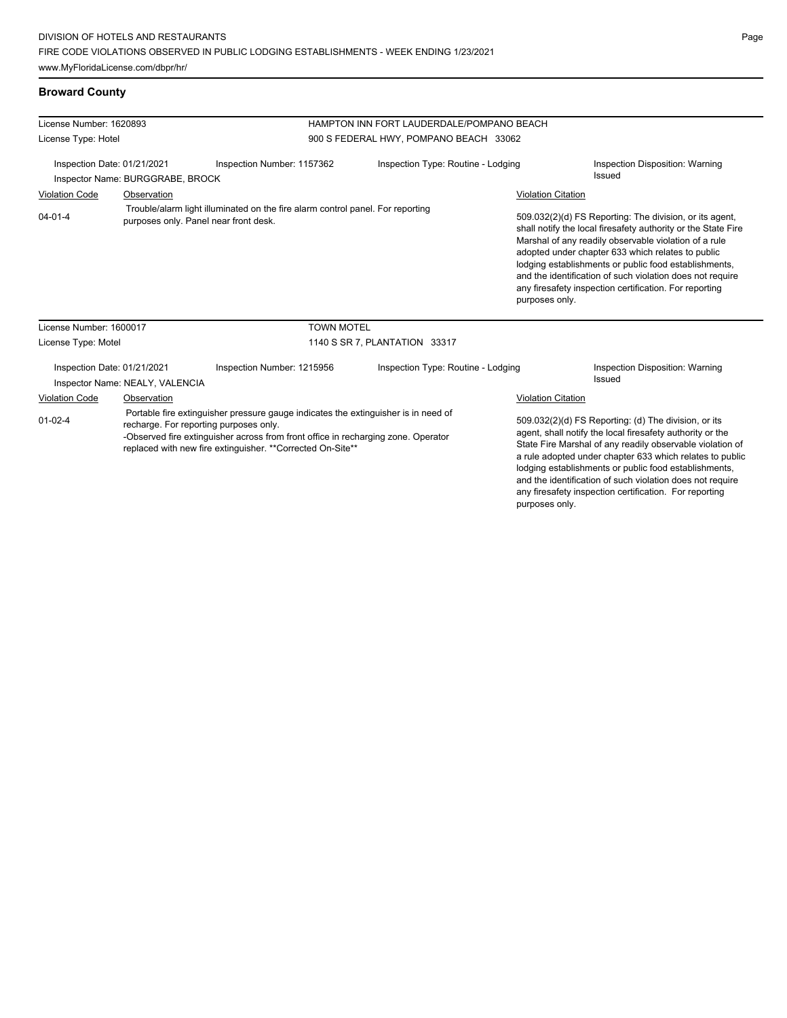| License Number: 1620893                                                                                                                                                                                                                                                                           |                                  |                                                                                                                         | HAMPTON INN FORT LAUDERDALE/POMPANO BEACH |                                                                                                                                                                                                                                                                                                                                                                  |                                                                                                                                                                                                                                                                                                                                                                                                                        |
|---------------------------------------------------------------------------------------------------------------------------------------------------------------------------------------------------------------------------------------------------------------------------------------------------|----------------------------------|-------------------------------------------------------------------------------------------------------------------------|-------------------------------------------|------------------------------------------------------------------------------------------------------------------------------------------------------------------------------------------------------------------------------------------------------------------------------------------------------------------------------------------------------------------|------------------------------------------------------------------------------------------------------------------------------------------------------------------------------------------------------------------------------------------------------------------------------------------------------------------------------------------------------------------------------------------------------------------------|
| License Type: Hotel                                                                                                                                                                                                                                                                               |                                  |                                                                                                                         | 900 S FEDERAL HWY, POMPANO BEACH 33062    |                                                                                                                                                                                                                                                                                                                                                                  |                                                                                                                                                                                                                                                                                                                                                                                                                        |
| Inspection Date: 01/21/2021                                                                                                                                                                                                                                                                       | Inspector Name: BURGGRABE, BROCK | Inspection Number: 1157362                                                                                              | Inspection Type: Routine - Lodging        |                                                                                                                                                                                                                                                                                                                                                                  | Inspection Disposition: Warning<br>Issued                                                                                                                                                                                                                                                                                                                                                                              |
| <b>Violation Code</b>                                                                                                                                                                                                                                                                             | Observation                      |                                                                                                                         |                                           | <b>Violation Citation</b>                                                                                                                                                                                                                                                                                                                                        |                                                                                                                                                                                                                                                                                                                                                                                                                        |
| $04 - 01 - 4$                                                                                                                                                                                                                                                                                     |                                  | Trouble/alarm light illuminated on the fire alarm control panel. For reporting<br>purposes only. Panel near front desk. |                                           | purposes only.                                                                                                                                                                                                                                                                                                                                                   | 509.032(2)(d) FS Reporting: The division, or its agent,<br>shall notify the local firesafety authority or the State Fire<br>Marshal of any readily observable violation of a rule<br>adopted under chapter 633 which relates to public<br>lodging establishments or public food establishments,<br>and the identification of such violation does not require<br>any firesafety inspection certification. For reporting |
| License Number: 1600017                                                                                                                                                                                                                                                                           |                                  | <b>TOWN MOTEL</b>                                                                                                       |                                           |                                                                                                                                                                                                                                                                                                                                                                  |                                                                                                                                                                                                                                                                                                                                                                                                                        |
| License Type: Motel                                                                                                                                                                                                                                                                               |                                  |                                                                                                                         | 1140 S SR 7, PLANTATION 33317             |                                                                                                                                                                                                                                                                                                                                                                  |                                                                                                                                                                                                                                                                                                                                                                                                                        |
| Inspection Date: 01/21/2021                                                                                                                                                                                                                                                                       | Inspector Name: NEALY, VALENCIA  | Inspection Number: 1215956                                                                                              | Inspection Type: Routine - Lodging        |                                                                                                                                                                                                                                                                                                                                                                  | Inspection Disposition: Warning<br>Issued                                                                                                                                                                                                                                                                                                                                                                              |
| <b>Violation Code</b>                                                                                                                                                                                                                                                                             | Observation                      |                                                                                                                         |                                           | <b>Violation Citation</b>                                                                                                                                                                                                                                                                                                                                        |                                                                                                                                                                                                                                                                                                                                                                                                                        |
| Portable fire extinguisher pressure gauge indicates the extinguisher is in need of<br>$01 - 02 - 4$<br>recharge. For reporting purposes only.<br>-Observed fire extinguisher across from front office in recharging zone. Operator<br>replaced with new fire extinguisher. ** Corrected On-Site** |                                  |                                                                                                                         |                                           | 509.032(2)(d) FS Reporting: (d) The division, or its<br>agent, shall notify the local firesafety authority or the<br>State Fire Marshal of any readily observable violation of<br>a rule adopted under chapter 633 which relates to public<br>lodging establishments or public food establishments,<br>and the identification of such violation does not require |                                                                                                                                                                                                                                                                                                                                                                                                                        |

any firesafety inspection certification. For reporting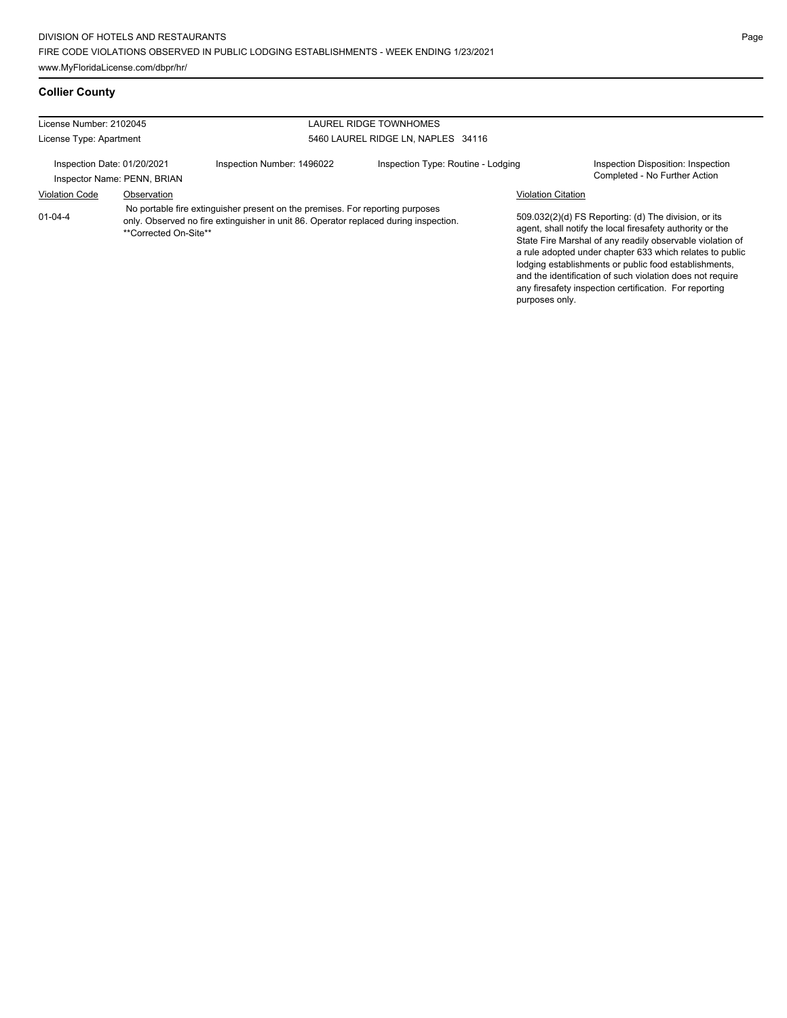# **Collier County**

| License Number: 2102045<br>LAUREL RIDGE TOWNHOMES |                             |                                                                                                                                                                       |                                    |                           |                                                                                                                                                                                                                                                                                                                                                                  |
|---------------------------------------------------|-----------------------------|-----------------------------------------------------------------------------------------------------------------------------------------------------------------------|------------------------------------|---------------------------|------------------------------------------------------------------------------------------------------------------------------------------------------------------------------------------------------------------------------------------------------------------------------------------------------------------------------------------------------------------|
| License Type: Apartment                           |                             |                                                                                                                                                                       | 5460 LAUREL RIDGE LN. NAPLES 34116 |                           |                                                                                                                                                                                                                                                                                                                                                                  |
| Inspection Date: 01/20/2021                       | Inspector Name: PENN, BRIAN | Inspection Number: 1496022                                                                                                                                            | Inspection Type: Routine - Lodging |                           | Inspection Disposition: Inspection<br>Completed - No Further Action                                                                                                                                                                                                                                                                                              |
| <b>Violation Code</b>                             | Observation                 |                                                                                                                                                                       |                                    | <b>Violation Citation</b> |                                                                                                                                                                                                                                                                                                                                                                  |
| $01 - 04 - 4$                                     | **Corrected On-Site**       | No portable fire extinguisher present on the premises. For reporting purposes<br>only. Observed no fire extinguisher in unit 86. Operator replaced during inspection. |                                    |                           | 509.032(2)(d) FS Reporting: (d) The division, or its<br>agent, shall notify the local firesafety authority or the<br>State Fire Marshal of any readily observable violation of<br>a rule adopted under chapter 633 which relates to public<br>lodging establishments or public food establishments,<br>and the identification of such violation does not require |

any firesafety inspection certification. For reporting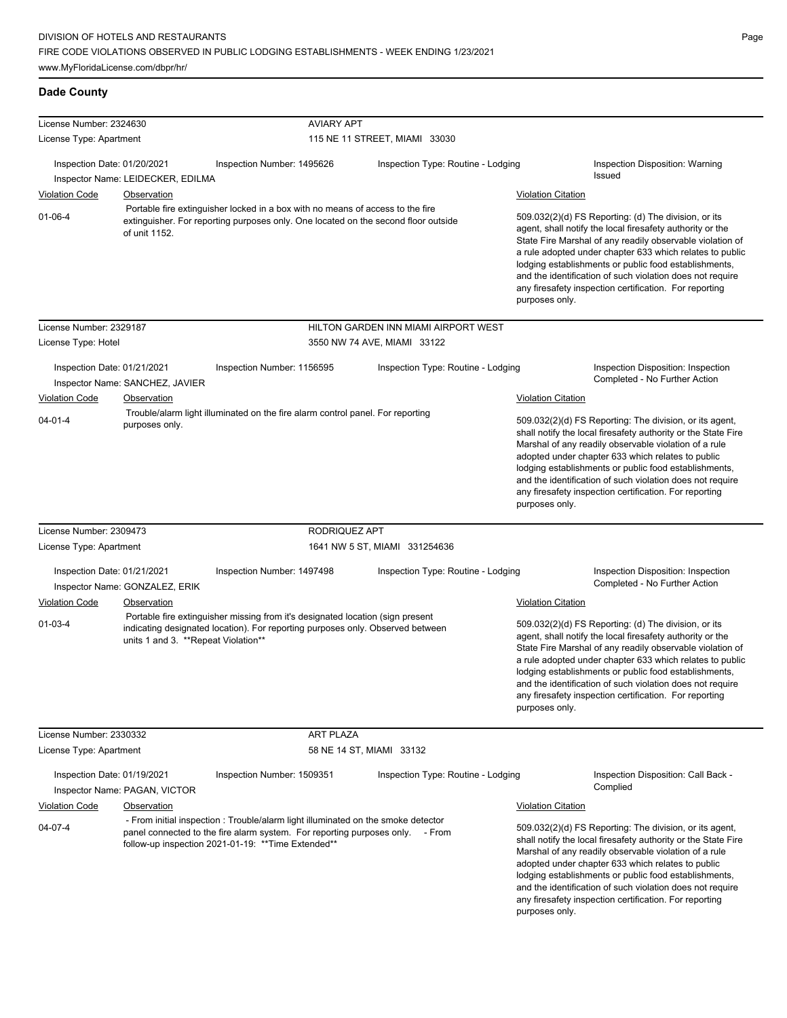# **Dade County**

| License Number: 2324630                                                                                                                                                                                                              |                                                  | <b>AVIARY APT</b>                                                                                                                                                                                       |                                                                                                                                                                                                                                                                                                                                                                                                                                          |                                                                                                                                                                                                                                                                                                                                                                                                                                              |
|--------------------------------------------------------------------------------------------------------------------------------------------------------------------------------------------------------------------------------------|--------------------------------------------------|---------------------------------------------------------------------------------------------------------------------------------------------------------------------------------------------------------|------------------------------------------------------------------------------------------------------------------------------------------------------------------------------------------------------------------------------------------------------------------------------------------------------------------------------------------------------------------------------------------------------------------------------------------|----------------------------------------------------------------------------------------------------------------------------------------------------------------------------------------------------------------------------------------------------------------------------------------------------------------------------------------------------------------------------------------------------------------------------------------------|
| License Type: Apartment                                                                                                                                                                                                              |                                                  |                                                                                                                                                                                                         | 115 NE 11 STREET, MIAMI 33030                                                                                                                                                                                                                                                                                                                                                                                                            |                                                                                                                                                                                                                                                                                                                                                                                                                                              |
| Inspection Date: 01/20/2021                                                                                                                                                                                                          |                                                  | Inspection Number: 1495626                                                                                                                                                                              | Inspection Type: Routine - Lodging                                                                                                                                                                                                                                                                                                                                                                                                       | Inspection Disposition: Warning<br>Issued                                                                                                                                                                                                                                                                                                                                                                                                    |
| <b>Violation Code</b>                                                                                                                                                                                                                | Inspector Name: LEIDECKER, EDILMA<br>Observation |                                                                                                                                                                                                         |                                                                                                                                                                                                                                                                                                                                                                                                                                          | <b>Violation Citation</b>                                                                                                                                                                                                                                                                                                                                                                                                                    |
| $01-06-4$                                                                                                                                                                                                                            | of unit 1152.                                    | Portable fire extinguisher locked in a box with no means of access to the fire<br>extinguisher. For reporting purposes only. One located on the second floor outside                                    |                                                                                                                                                                                                                                                                                                                                                                                                                                          | 509.032(2)(d) FS Reporting: (d) The division, or its<br>agent, shall notify the local firesafety authority or the<br>State Fire Marshal of any readily observable violation of<br>a rule adopted under chapter 633 which relates to public<br>lodging establishments or public food establishments,                                                                                                                                          |
|                                                                                                                                                                                                                                      |                                                  |                                                                                                                                                                                                         |                                                                                                                                                                                                                                                                                                                                                                                                                                          | and the identification of such violation does not require<br>any firesafety inspection certification. For reporting<br>purposes only.                                                                                                                                                                                                                                                                                                        |
| License Number: 2329187                                                                                                                                                                                                              |                                                  |                                                                                                                                                                                                         | HILTON GARDEN INN MIAMI AIRPORT WEST                                                                                                                                                                                                                                                                                                                                                                                                     |                                                                                                                                                                                                                                                                                                                                                                                                                                              |
| License Type: Hotel                                                                                                                                                                                                                  |                                                  |                                                                                                                                                                                                         | 3550 NW 74 AVE, MIAMI 33122                                                                                                                                                                                                                                                                                                                                                                                                              |                                                                                                                                                                                                                                                                                                                                                                                                                                              |
| Inspection Date: 01/21/2021                                                                                                                                                                                                          | Inspector Name: SANCHEZ, JAVIER                  | Inspection Number: 1156595                                                                                                                                                                              | Inspection Type: Routine - Lodging                                                                                                                                                                                                                                                                                                                                                                                                       | Inspection Disposition: Inspection<br>Completed - No Further Action                                                                                                                                                                                                                                                                                                                                                                          |
| <b>Violation Code</b>                                                                                                                                                                                                                | Observation                                      |                                                                                                                                                                                                         |                                                                                                                                                                                                                                                                                                                                                                                                                                          | <b>Violation Citation</b>                                                                                                                                                                                                                                                                                                                                                                                                                    |
| $04 - 01 - 4$                                                                                                                                                                                                                        | purposes only.                                   | Trouble/alarm light illuminated on the fire alarm control panel. For reporting                                                                                                                          |                                                                                                                                                                                                                                                                                                                                                                                                                                          | 509.032(2)(d) FS Reporting: The division, or its agent,<br>shall notify the local firesafety authority or the State Fire<br>Marshal of any readily observable violation of a rule<br>adopted under chapter 633 which relates to public<br>lodging establishments or public food establishments,<br>and the identification of such violation does not require<br>any firesafety inspection certification. For reporting<br>purposes only.     |
| License Number: 2309473                                                                                                                                                                                                              |                                                  | RODRIQUEZ APT                                                                                                                                                                                           |                                                                                                                                                                                                                                                                                                                                                                                                                                          |                                                                                                                                                                                                                                                                                                                                                                                                                                              |
| License Type: Apartment                                                                                                                                                                                                              |                                                  |                                                                                                                                                                                                         | 1641 NW 5 ST, MIAMI 331254636                                                                                                                                                                                                                                                                                                                                                                                                            |                                                                                                                                                                                                                                                                                                                                                                                                                                              |
| Inspection Date: 01/21/2021                                                                                                                                                                                                          | Inspector Name: GONZALEZ, ERIK                   | Inspection Number: 1497498                                                                                                                                                                              | Inspection Type: Routine - Lodging                                                                                                                                                                                                                                                                                                                                                                                                       | Inspection Disposition: Inspection<br>Completed - No Further Action                                                                                                                                                                                                                                                                                                                                                                          |
| <b>Violation Code</b>                                                                                                                                                                                                                | Observation                                      |                                                                                                                                                                                                         |                                                                                                                                                                                                                                                                                                                                                                                                                                          | <b>Violation Citation</b>                                                                                                                                                                                                                                                                                                                                                                                                                    |
| $01 - 03 - 4$                                                                                                                                                                                                                        |                                                  | Portable fire extinguisher missing from it's designated location (sign present<br>indicating designated location). For reporting purposes only. Observed between<br>units 1 and 3. **Repeat Violation** |                                                                                                                                                                                                                                                                                                                                                                                                                                          | 509.032(2)(d) FS Reporting: (d) The division, or its<br>agent, shall notify the local firesafety authority or the<br>State Fire Marshal of any readily observable violation of<br>a rule adopted under chapter 633 which relates to public<br>lodging establishments or public food establishments,<br>and the identification of such violation does not require<br>any firesafety inspection certification. For reporting<br>purposes only. |
| License Number: 2330332                                                                                                                                                                                                              |                                                  | ART PLAZA                                                                                                                                                                                               |                                                                                                                                                                                                                                                                                                                                                                                                                                          |                                                                                                                                                                                                                                                                                                                                                                                                                                              |
| License Type: Apartment                                                                                                                                                                                                              |                                                  |                                                                                                                                                                                                         | 58 NE 14 ST, MIAMI 33132                                                                                                                                                                                                                                                                                                                                                                                                                 |                                                                                                                                                                                                                                                                                                                                                                                                                                              |
| Inspection Date: 01/19/2021                                                                                                                                                                                                          | Inspector Name: PAGAN, VICTOR                    | Inspection Number: 1509351                                                                                                                                                                              | Inspection Type: Routine - Lodging                                                                                                                                                                                                                                                                                                                                                                                                       | Inspection Disposition: Call Back -<br>Complied                                                                                                                                                                                                                                                                                                                                                                                              |
| <b>Violation Code</b>                                                                                                                                                                                                                | Observation                                      |                                                                                                                                                                                                         |                                                                                                                                                                                                                                                                                                                                                                                                                                          | <b>Violation Citation</b>                                                                                                                                                                                                                                                                                                                                                                                                                    |
| - From initial inspection : Trouble/alarm light illuminated on the smoke detector<br>04-07-4<br>panel connected to the fire alarm system. For reporting purposes only. - From<br>follow-up inspection 2021-01-19: ** Time Extended** |                                                  |                                                                                                                                                                                                         | 509.032(2)(d) FS Reporting: The division, or its agent,<br>shall notify the local firesafety authority or the State Fire<br>Marshal of any readily observable violation of a rule<br>adopted under chapter 633 which relates to public<br>lodging establishments or public food establishments,<br>and the identification of such violation does not require<br>any firesafety inspection certification. For reporting<br>purposes only. |                                                                                                                                                                                                                                                                                                                                                                                                                                              |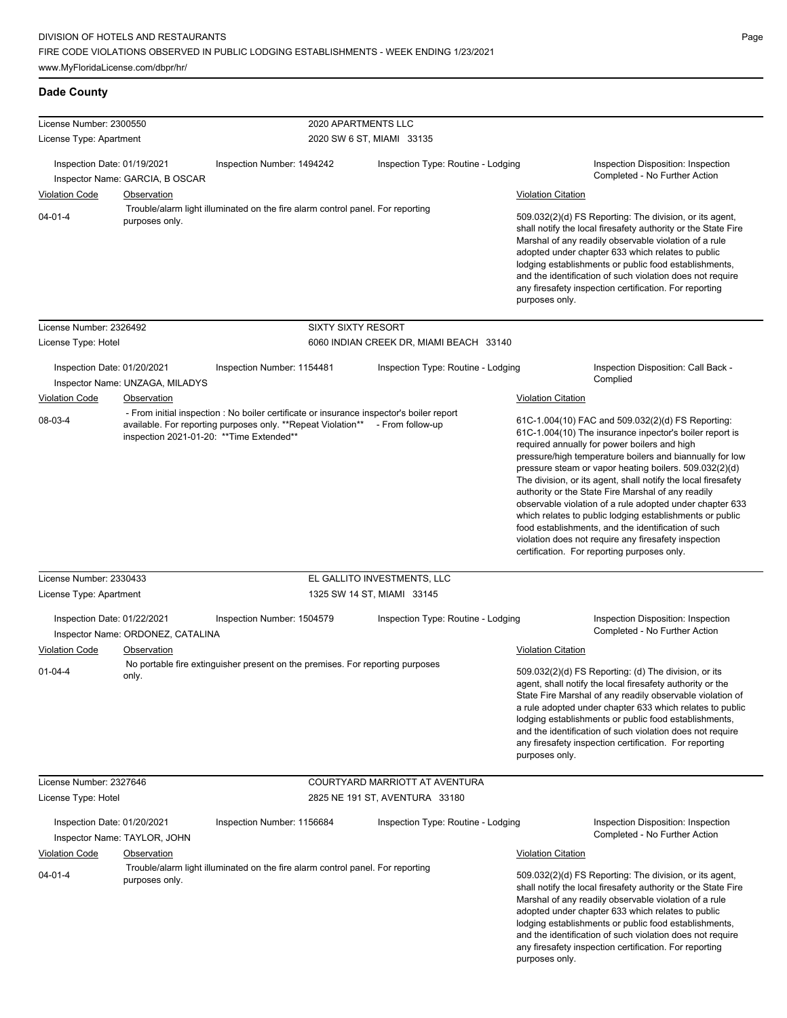# **Dade County**

| License Number: 2300550                |                                           | 2020 APARTMENTS LLC                                                                                                                                       |                                         |                                             |                                                                                                                                                                                                                                                                                                                                                                                                                                                                                                                                                                                                                                                                                                 |
|----------------------------------------|-------------------------------------------|-----------------------------------------------------------------------------------------------------------------------------------------------------------|-----------------------------------------|---------------------------------------------|-------------------------------------------------------------------------------------------------------------------------------------------------------------------------------------------------------------------------------------------------------------------------------------------------------------------------------------------------------------------------------------------------------------------------------------------------------------------------------------------------------------------------------------------------------------------------------------------------------------------------------------------------------------------------------------------------|
| License Type: Apartment                |                                           |                                                                                                                                                           | 2020 SW 6 ST, MIAMI 33135               |                                             |                                                                                                                                                                                                                                                                                                                                                                                                                                                                                                                                                                                                                                                                                                 |
| Inspection Date: 01/19/2021            | Inspector Name: GARCIA, B OSCAR           | Inspection Number: 1494242                                                                                                                                | Inspection Type: Routine - Lodging      |                                             | Inspection Disposition: Inspection<br>Completed - No Further Action                                                                                                                                                                                                                                                                                                                                                                                                                                                                                                                                                                                                                             |
| <b>Violation Code</b>                  | Observation                               |                                                                                                                                                           |                                         | <b>Violation Citation</b>                   |                                                                                                                                                                                                                                                                                                                                                                                                                                                                                                                                                                                                                                                                                                 |
| $04 - 01 - 4$                          | purposes only.                            | Trouble/alarm light illuminated on the fire alarm control panel. For reporting                                                                            |                                         | purposes only.                              | 509.032(2)(d) FS Reporting: The division, or its agent,<br>shall notify the local firesafety authority or the State Fire<br>Marshal of any readily observable violation of a rule<br>adopted under chapter 633 which relates to public<br>lodging establishments or public food establishments,<br>and the identification of such violation does not require<br>any firesafety inspection certification. For reporting                                                                                                                                                                                                                                                                          |
| License Number: 2326492                |                                           | <b>SIXTY SIXTY RESORT</b>                                                                                                                                 |                                         |                                             |                                                                                                                                                                                                                                                                                                                                                                                                                                                                                                                                                                                                                                                                                                 |
| License Type: Hotel                    |                                           |                                                                                                                                                           | 6060 INDIAN CREEK DR, MIAMI BEACH 33140 |                                             |                                                                                                                                                                                                                                                                                                                                                                                                                                                                                                                                                                                                                                                                                                 |
| Inspection Date: 01/20/2021            | Inspector Name: UNZAGA, MILADYS           | Inspection Number: 1154481                                                                                                                                | Inspection Type: Routine - Lodging      |                                             | Inspection Disposition: Call Back -<br>Complied                                                                                                                                                                                                                                                                                                                                                                                                                                                                                                                                                                                                                                                 |
| <b>Violation Code</b>                  | Observation                               |                                                                                                                                                           |                                         | <b>Violation Citation</b>                   |                                                                                                                                                                                                                                                                                                                                                                                                                                                                                                                                                                                                                                                                                                 |
| 08-03-4                                | inspection 2021-01-20: ** Time Extended** | - From initial inspection : No boiler certificate or insurance inspector's boiler report<br>available. For reporting purposes only. ** Repeat Violation** | - From follow-up                        |                                             | 61C-1.004(10) FAC and 509.032(2)(d) FS Reporting:<br>61C-1.004(10) The insurance inpector's boiler report is<br>required annually for power boilers and high<br>pressure/high temperature boilers and biannually for low<br>pressure steam or vapor heating boilers. 509.032(2)(d)<br>The division, or its agent, shall notify the local firesafety<br>authority or the State Fire Marshal of any readily<br>observable violation of a rule adopted under chapter 633<br>which relates to public lodging establishments or public<br>food establishments, and the identification of such<br>violation does not require any firesafety inspection<br>certification. For reporting purposes only. |
| License Number: 2330433                |                                           |                                                                                                                                                           | EL GALLITO INVESTMENTS, LLC             |                                             |                                                                                                                                                                                                                                                                                                                                                                                                                                                                                                                                                                                                                                                                                                 |
| License Type: Apartment                |                                           | 1325 SW 14 ST, MIAMI 33145                                                                                                                                |                                         |                                             |                                                                                                                                                                                                                                                                                                                                                                                                                                                                                                                                                                                                                                                                                                 |
| Inspection Date: 01/22/2021            | Inspector Name: ORDONEZ, CATALINA         | Inspection Number: 1504579                                                                                                                                | Inspection Type: Routine - Lodging      |                                             | Inspection Disposition: Inspection<br>Completed - No Further Action                                                                                                                                                                                                                                                                                                                                                                                                                                                                                                                                                                                                                             |
| <b>Violation Code</b>                  | Observation                               |                                                                                                                                                           |                                         | <b>Violation Citation</b>                   |                                                                                                                                                                                                                                                                                                                                                                                                                                                                                                                                                                                                                                                                                                 |
| $01 - 04 - 4$                          | only.                                     | No portable fire extinguisher present on the premises. For reporting purposes                                                                             |                                         | purposes only.                              | 509.032(2)(d) FS Reporting: (d) The division, or its<br>agent, shall notify the local firesafety authority or the<br>State Fire Marshal of any readily observable violation of<br>a rule adopted under chapter 633 which relates to public<br>lodging establishments or public food establishments,<br>and the identification of such violation does not require<br>any firesafety inspection certification. For reporting                                                                                                                                                                                                                                                                      |
| License Number: 2327646                |                                           |                                                                                                                                                           | COURTYARD MARRIOTT AT AVENTURA          |                                             |                                                                                                                                                                                                                                                                                                                                                                                                                                                                                                                                                                                                                                                                                                 |
| License Type: Hotel                    |                                           |                                                                                                                                                           | 2825 NE 191 ST, AVENTURA 33180          |                                             |                                                                                                                                                                                                                                                                                                                                                                                                                                                                                                                                                                                                                                                                                                 |
| Inspection Date: 01/20/2021            | Inspector Name: TAYLOR, JOHN              | Inspection Number: 1156684                                                                                                                                | Inspection Type: Routine - Lodging      |                                             | Inspection Disposition: Inspection<br>Completed - No Further Action                                                                                                                                                                                                                                                                                                                                                                                                                                                                                                                                                                                                                             |
| <b>Violation Code</b><br>$04 - 01 - 4$ | Observation<br>purposes only.             | Trouble/alarm light illuminated on the fire alarm control panel. For reporting                                                                            |                                         | <b>Violation Citation</b><br>purposes only. | 509.032(2)(d) FS Reporting: The division, or its agent,<br>shall notify the local firesafety authority or the State Fire<br>Marshal of any readily observable violation of a rule<br>adopted under chapter 633 which relates to public<br>lodging establishments or public food establishments,<br>and the identification of such violation does not require<br>any firesafety inspection certification. For reporting                                                                                                                                                                                                                                                                          |

 $\overline{\phantom{0}}$ 

 $\overline{\phantom{0}}$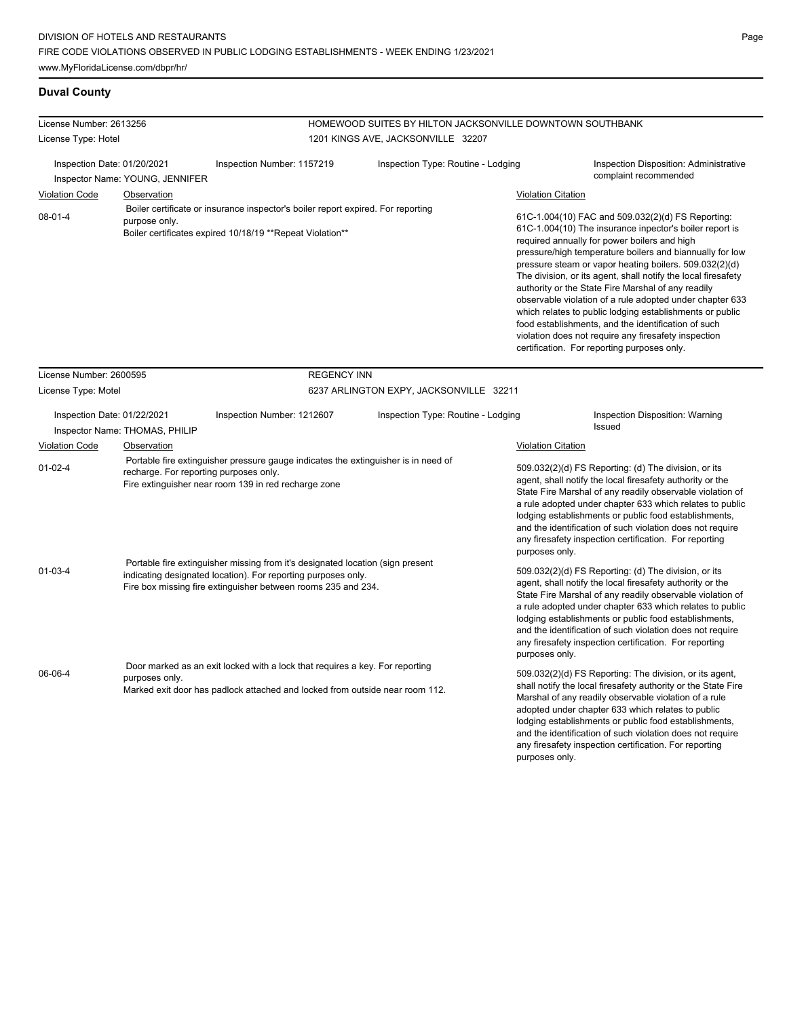# **Duval County**

| License Number: 2613256                                        |                                | HOMEWOOD SUITES BY HILTON JACKSONVILLE DOWNTOWN SOUTHBANK                                                                                                                                                        |                                         |                           |                                                                                                                                                                                                                                                                                                                                                                                                                                                                                                                                                                                                                                                                                                 |  |
|----------------------------------------------------------------|--------------------------------|------------------------------------------------------------------------------------------------------------------------------------------------------------------------------------------------------------------|-----------------------------------------|---------------------------|-------------------------------------------------------------------------------------------------------------------------------------------------------------------------------------------------------------------------------------------------------------------------------------------------------------------------------------------------------------------------------------------------------------------------------------------------------------------------------------------------------------------------------------------------------------------------------------------------------------------------------------------------------------------------------------------------|--|
| License Type: Hotel                                            |                                |                                                                                                                                                                                                                  | 1201 KINGS AVE, JACKSONVILLE 32207      |                           |                                                                                                                                                                                                                                                                                                                                                                                                                                                                                                                                                                                                                                                                                                 |  |
| Inspection Date: 01/20/2021<br>Inspector Name: YOUNG, JENNIFER |                                | Inspection Number: 1157219                                                                                                                                                                                       | Inspection Type: Routine - Lodging      |                           | Inspection Disposition: Administrative<br>complaint recommended                                                                                                                                                                                                                                                                                                                                                                                                                                                                                                                                                                                                                                 |  |
| <b>Violation Code</b>                                          | Observation                    |                                                                                                                                                                                                                  |                                         | <b>Violation Citation</b> |                                                                                                                                                                                                                                                                                                                                                                                                                                                                                                                                                                                                                                                                                                 |  |
| $08 - 01 - 4$                                                  | purpose only.                  | Boiler certificate or insurance inspector's boiler report expired. For reporting<br>Boiler certificates expired 10/18/19 ** Repeat Violation**                                                                   |                                         |                           | 61C-1.004(10) FAC and 509.032(2)(d) FS Reporting:<br>61C-1.004(10) The insurance inpector's boiler report is<br>required annually for power boilers and high<br>pressure/high temperature boilers and biannually for low<br>pressure steam or vapor heating boilers. 509.032(2)(d)<br>The division, or its agent, shall notify the local firesafety<br>authority or the State Fire Marshal of any readily<br>observable violation of a rule adopted under chapter 633<br>which relates to public lodging establishments or public<br>food establishments, and the identification of such<br>violation does not require any firesafety inspection<br>certification. For reporting purposes only. |  |
| License Number: 2600595                                        |                                | <b>REGENCY INN</b>                                                                                                                                                                                               |                                         |                           |                                                                                                                                                                                                                                                                                                                                                                                                                                                                                                                                                                                                                                                                                                 |  |
| License Type: Motel                                            |                                |                                                                                                                                                                                                                  | 6237 ARLINGTON EXPY, JACKSONVILLE 32211 |                           |                                                                                                                                                                                                                                                                                                                                                                                                                                                                                                                                                                                                                                                                                                 |  |
| Inspection Date: 01/22/2021                                    | Inspector Name: THOMAS, PHILIP | Inspection Number: 1212607                                                                                                                                                                                       | Inspection Type: Routine - Lodging      |                           | Inspection Disposition: Warning<br><b>Issued</b>                                                                                                                                                                                                                                                                                                                                                                                                                                                                                                                                                                                                                                                |  |
| <b>Violation Code</b>                                          | Observation                    |                                                                                                                                                                                                                  |                                         | <b>Violation Citation</b> |                                                                                                                                                                                                                                                                                                                                                                                                                                                                                                                                                                                                                                                                                                 |  |
| $01 - 02 - 4$                                                  |                                | Portable fire extinguisher pressure gauge indicates the extinguisher is in need of<br>recharge. For reporting purposes only.<br>Fire extinguisher near room 139 in red recharge zone                             |                                         | purposes only.            | 509.032(2)(d) FS Reporting: (d) The division, or its<br>agent, shall notify the local firesafety authority or the<br>State Fire Marshal of any readily observable violation of<br>a rule adopted under chapter 633 which relates to public<br>lodging establishments or public food establishments,<br>and the identification of such violation does not require<br>any firesafety inspection certification. For reporting                                                                                                                                                                                                                                                                      |  |
| $01 - 03 - 4$                                                  |                                | Portable fire extinguisher missing from it's designated location (sign present<br>indicating designated location). For reporting purposes only.<br>Fire box missing fire extinguisher between rooms 235 and 234. |                                         | purposes only.            | 509.032(2)(d) FS Reporting: (d) The division, or its<br>agent, shall notify the local firesafety authority or the<br>State Fire Marshal of any readily observable violation of<br>a rule adopted under chapter 633 which relates to public<br>lodging establishments or public food establishments,<br>and the identification of such violation does not require<br>any firesafety inspection certification. For reporting                                                                                                                                                                                                                                                                      |  |
| 06-06-4                                                        | purposes only.                 | Door marked as an exit locked with a lock that requires a key. For reporting<br>Marked exit door has padlock attached and locked from outside near room 112.                                                     |                                         | purposes only.            | 509.032(2)(d) FS Reporting: The division, or its agent,<br>shall notify the local firesafety authority or the State Fire<br>Marshal of any readily observable violation of a rule<br>adopted under chapter 633 which relates to public<br>lodging establishments or public food establishments,<br>and the identification of such violation does not require<br>any firesafety inspection certification. For reporting                                                                                                                                                                                                                                                                          |  |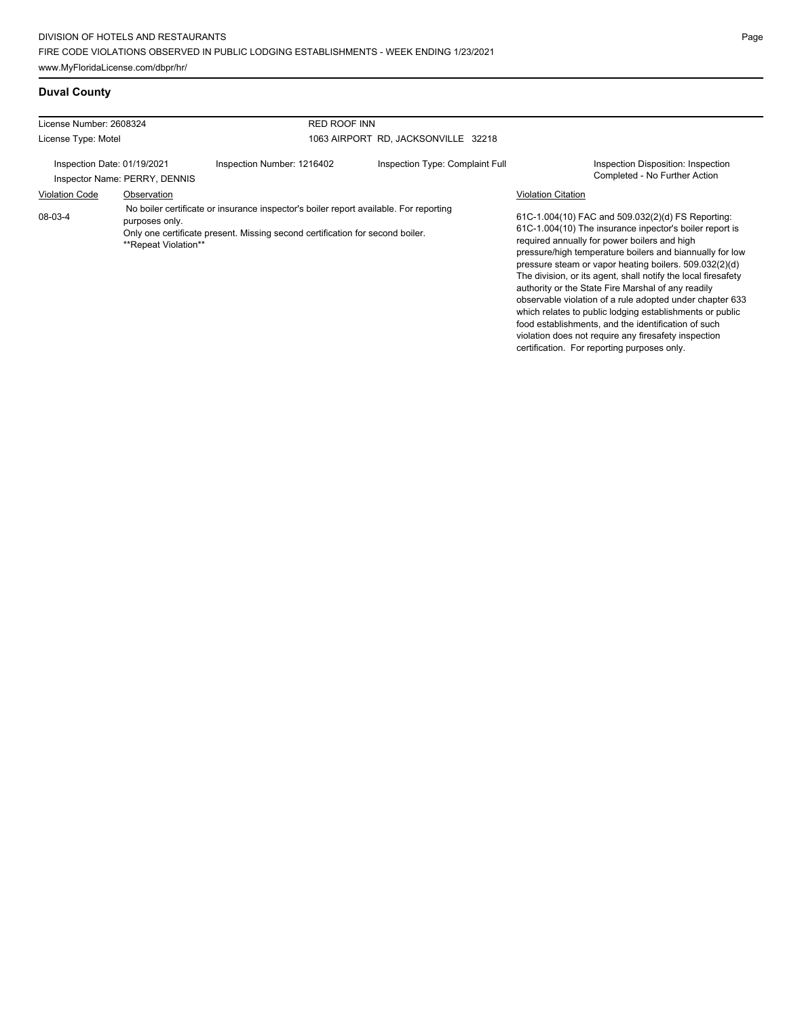# **Duval County**

| License Number: 2608324     |                                        |                                                                                                                                                                        | <b>RED ROOF INN</b>                 |                           |                                                                                                                                                                                                                                                                                                                                                     |  |
|-----------------------------|----------------------------------------|------------------------------------------------------------------------------------------------------------------------------------------------------------------------|-------------------------------------|---------------------------|-----------------------------------------------------------------------------------------------------------------------------------------------------------------------------------------------------------------------------------------------------------------------------------------------------------------------------------------------------|--|
| License Type: Motel         |                                        |                                                                                                                                                                        | 1063 AIRPORT RD, JACKSONVILLE 32218 |                           |                                                                                                                                                                                                                                                                                                                                                     |  |
| Inspection Date: 01/19/2021 | Inspector Name: PERRY, DENNIS          | Inspection Number: 1216402                                                                                                                                             | Inspection Type: Complaint Full     |                           | Inspection Disposition: Inspection<br>Completed - No Further Action                                                                                                                                                                                                                                                                                 |  |
| <b>Violation Code</b>       | Observation                            |                                                                                                                                                                        |                                     | <b>Violation Citation</b> |                                                                                                                                                                                                                                                                                                                                                     |  |
| 08-03-4                     | purposes only.<br>**Repeat Violation** | No boiler certificate or insurance inspector's boiler report available. For reporting<br>Only one certificate present. Missing second certification for second boiler. |                                     |                           | 61C-1.004(10) FAC and 509.032(2)(d) FS Reporting:<br>61C-1.004(10) The insurance inpector's boiler report is<br>required annually for power boilers and high<br>pressure/high temperature boilers and biannually for low<br>pressure steam or vapor heating boilers. 509.032(2)(d)<br>The division, or its agent, shall notify the local firesafety |  |

authority or the State Fire Marshal of any readily observable violation of a rule adopted under chapter 633 which relates to public lodging establishments or public food establishments, and the identification of such violation does not require any firesafety inspection certification. For reporting purposes only.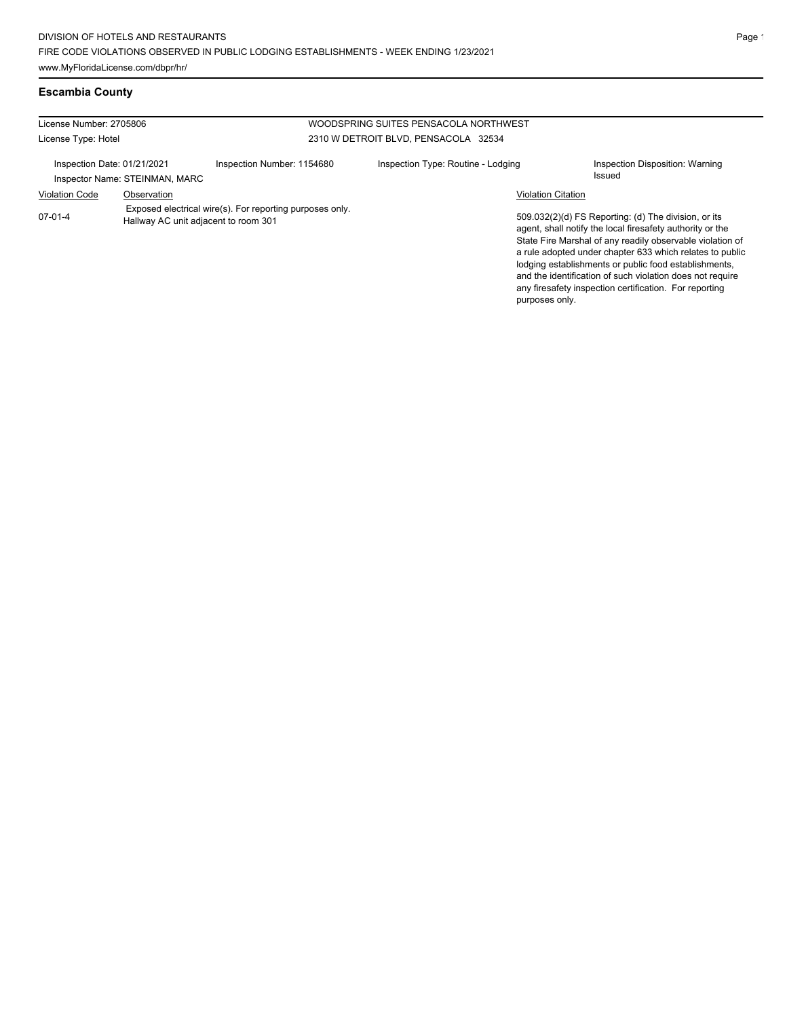| License Number: 2705806<br>WOODSPRING SUITES PENSACOLA NORTHWEST |                                      |                                                          |                                      |                           |                                                                                                                                                                                                                                                                                                                                                                                                                            |
|------------------------------------------------------------------|--------------------------------------|----------------------------------------------------------|--------------------------------------|---------------------------|----------------------------------------------------------------------------------------------------------------------------------------------------------------------------------------------------------------------------------------------------------------------------------------------------------------------------------------------------------------------------------------------------------------------------|
| License Type: Hotel                                              |                                      |                                                          | 2310 W DETROIT BLVD, PENSACOLA 32534 |                           |                                                                                                                                                                                                                                                                                                                                                                                                                            |
| Inspection Date: 01/21/2021                                      | Inspector Name: STEINMAN, MARC       | Inspection Number: 1154680                               | Inspection Type: Routine - Lodging   |                           | Inspection Disposition: Warning<br><b>Issued</b>                                                                                                                                                                                                                                                                                                                                                                           |
| <b>Violation Code</b>                                            | Observation                          |                                                          |                                      | <b>Violation Citation</b> |                                                                                                                                                                                                                                                                                                                                                                                                                            |
| 07-01-4                                                          | Hallway AC unit adjacent to room 301 | Exposed electrical wire(s). For reporting purposes only. |                                      | purposes only.            | 509.032(2)(d) FS Reporting: (d) The division, or its<br>agent, shall notify the local firesafety authority or the<br>State Fire Marshal of any readily observable violation of<br>a rule adopted under chapter 633 which relates to public<br>lodging establishments or public food establishments.<br>and the identification of such violation does not require<br>any firesafety inspection certification. For reporting |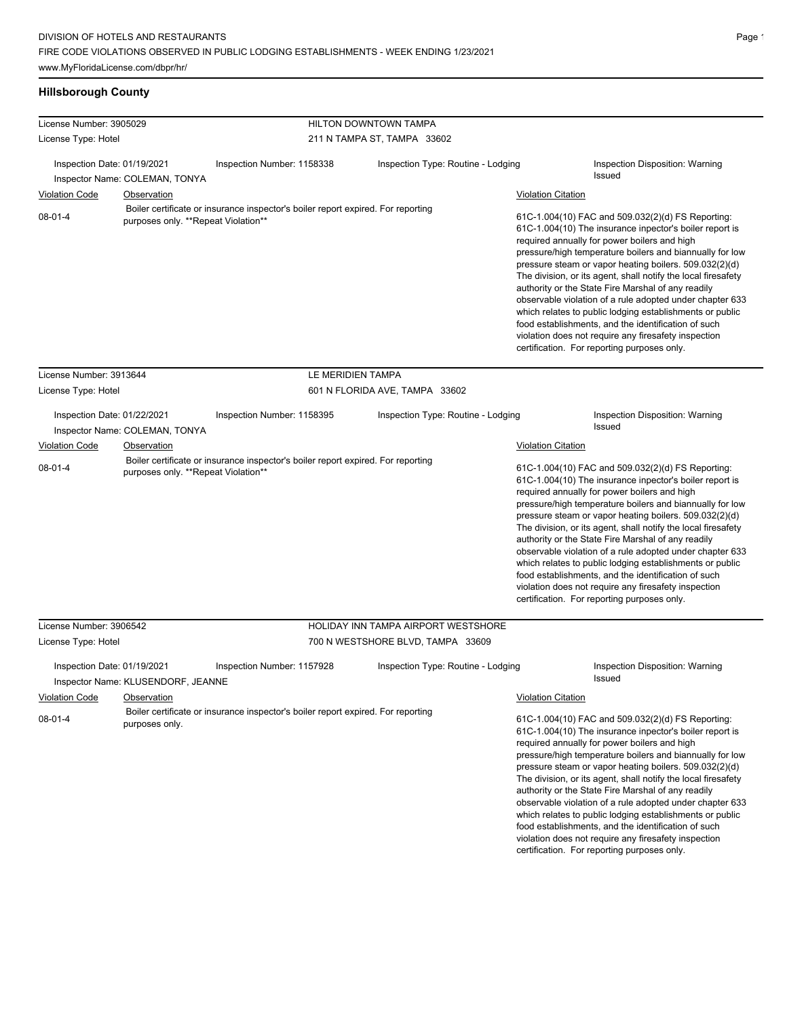# **Hillsborough County**

| License Number: 3905029<br>License Type: Hotel        |                                                   |                                                                                                                         | <b>HILTON DOWNTOWN TAMPA</b>        |                                                                                                                                                                                                                                                                                                                                                                                                                                                                                                                                                                                          |                                                                                                                                                                                                                                                                                                                                                                                                                                                                                                                                                                                                                                                                                                 |
|-------------------------------------------------------|---------------------------------------------------|-------------------------------------------------------------------------------------------------------------------------|-------------------------------------|------------------------------------------------------------------------------------------------------------------------------------------------------------------------------------------------------------------------------------------------------------------------------------------------------------------------------------------------------------------------------------------------------------------------------------------------------------------------------------------------------------------------------------------------------------------------------------------|-------------------------------------------------------------------------------------------------------------------------------------------------------------------------------------------------------------------------------------------------------------------------------------------------------------------------------------------------------------------------------------------------------------------------------------------------------------------------------------------------------------------------------------------------------------------------------------------------------------------------------------------------------------------------------------------------|
|                                                       |                                                   |                                                                                                                         | 211 N TAMPA ST, TAMPA 33602         |                                                                                                                                                                                                                                                                                                                                                                                                                                                                                                                                                                                          |                                                                                                                                                                                                                                                                                                                                                                                                                                                                                                                                                                                                                                                                                                 |
| Inspection Date: 01/19/2021                           | Inspector Name: COLEMAN, TONYA                    | Inspection Number: 1158338                                                                                              | Inspection Type: Routine - Lodging  |                                                                                                                                                                                                                                                                                                                                                                                                                                                                                                                                                                                          | Inspection Disposition: Warning<br><b>Issued</b>                                                                                                                                                                                                                                                                                                                                                                                                                                                                                                                                                                                                                                                |
|                                                       |                                                   |                                                                                                                         |                                     | <b>Violation Citation</b>                                                                                                                                                                                                                                                                                                                                                                                                                                                                                                                                                                |                                                                                                                                                                                                                                                                                                                                                                                                                                                                                                                                                                                                                                                                                                 |
| <b>Violation Code</b><br>Observation<br>$08 - 01 - 4$ |                                                   | Boiler certificate or insurance inspector's boiler report expired. For reporting<br>purposes only. **Repeat Violation** |                                     | 61C-1.004(10) FAC and 509.032(2)(d) FS Reporting:<br>61C-1.004(10) The insurance inpector's boiler report is<br>required annually for power boilers and high<br>pressure/high temperature boilers and biannually for low<br>pressure steam or vapor heating boilers. 509.032(2)(d)<br>The division, or its agent, shall notify the local firesafety<br>authority or the State Fire Marshal of any readily<br>observable violation of a rule adopted under chapter 633<br>which relates to public lodging establishments or public<br>food establishments, and the identification of such |                                                                                                                                                                                                                                                                                                                                                                                                                                                                                                                                                                                                                                                                                                 |
|                                                       |                                                   |                                                                                                                         |                                     |                                                                                                                                                                                                                                                                                                                                                                                                                                                                                                                                                                                          | violation does not require any firesafety inspection<br>certification. For reporting purposes only.                                                                                                                                                                                                                                                                                                                                                                                                                                                                                                                                                                                             |
| License Number: 3913644                               |                                                   | LE MERIDIEN TAMPA                                                                                                       |                                     |                                                                                                                                                                                                                                                                                                                                                                                                                                                                                                                                                                                          |                                                                                                                                                                                                                                                                                                                                                                                                                                                                                                                                                                                                                                                                                                 |
| License Type: Hotel                                   |                                                   |                                                                                                                         | 601 N FLORIDA AVE, TAMPA 33602      |                                                                                                                                                                                                                                                                                                                                                                                                                                                                                                                                                                                          |                                                                                                                                                                                                                                                                                                                                                                                                                                                                                                                                                                                                                                                                                                 |
| Inspection Date: 01/22/2021                           | Inspector Name: COLEMAN, TONYA                    | Inspection Number: 1158395                                                                                              | Inspection Type: Routine - Lodging  |                                                                                                                                                                                                                                                                                                                                                                                                                                                                                                                                                                                          | Inspection Disposition: Warning<br>Issued                                                                                                                                                                                                                                                                                                                                                                                                                                                                                                                                                                                                                                                       |
| <b>Violation Code</b>                                 | Observation                                       |                                                                                                                         |                                     | <b>Violation Citation</b>                                                                                                                                                                                                                                                                                                                                                                                                                                                                                                                                                                |                                                                                                                                                                                                                                                                                                                                                                                                                                                                                                                                                                                                                                                                                                 |
| $08 - 01 - 4$                                         | purposes only. **Repeat Violation**               | Boiler certificate or insurance inspector's boiler report expired. For reporting                                        |                                     |                                                                                                                                                                                                                                                                                                                                                                                                                                                                                                                                                                                          | 61C-1.004(10) FAC and 509.032(2)(d) FS Reporting:<br>61C-1.004(10) The insurance inpector's boiler report is<br>required annually for power boilers and high<br>pressure/high temperature boilers and biannually for low<br>pressure steam or vapor heating boilers. 509.032(2)(d)<br>The division, or its agent, shall notify the local firesafety<br>authority or the State Fire Marshal of any readily<br>observable violation of a rule adopted under chapter 633<br>which relates to public lodging establishments or public<br>food establishments, and the identification of such<br>violation does not require any firesafety inspection<br>certification. For reporting purposes only. |
| License Number: 3906542                               |                                                   |                                                                                                                         | HOLIDAY INN TAMPA AIRPORT WESTSHORE |                                                                                                                                                                                                                                                                                                                                                                                                                                                                                                                                                                                          |                                                                                                                                                                                                                                                                                                                                                                                                                                                                                                                                                                                                                                                                                                 |
| License Type: Hotel                                   |                                                   |                                                                                                                         | 700 N WESTSHORE BLVD, TAMPA 33609   |                                                                                                                                                                                                                                                                                                                                                                                                                                                                                                                                                                                          |                                                                                                                                                                                                                                                                                                                                                                                                                                                                                                                                                                                                                                                                                                 |
| Inspection Date: 01/19/2021<br><b>Violation Code</b>  | Inspector Name: KLUSENDORF, JEANNE<br>Observation | Inspection Number: 1157928                                                                                              | Inspection Type: Routine - Lodging  |                                                                                                                                                                                                                                                                                                                                                                                                                                                                                                                                                                                          | Inspection Disposition: Warning<br>Issued                                                                                                                                                                                                                                                                                                                                                                                                                                                                                                                                                                                                                                                       |
|                                                       |                                                   | Boiler certificate or insurance inspector's boiler report expired. For reporting                                        |                                     | <b>Violation Citation</b>                                                                                                                                                                                                                                                                                                                                                                                                                                                                                                                                                                |                                                                                                                                                                                                                                                                                                                                                                                                                                                                                                                                                                                                                                                                                                 |
| $08-01-4$                                             | purposes only.                                    |                                                                                                                         |                                     |                                                                                                                                                                                                                                                                                                                                                                                                                                                                                                                                                                                          | 61C-1.004(10) FAC and 509.032(2)(d) FS Reporting:<br>61C-1.004(10) The insurance inpector's boiler report is<br>required annually for power boilers and high<br>pressure/high temperature boilers and biannually for low<br>pressure steam or vapor heating boilers. 509.032(2)(d)<br>The division, or its agent, shall notify the local firesafety<br>authority or the State Fire Marshal of any readily<br>observable violation of a rule adopted under chapter 633<br>which relates to public lodging establishments or public<br>food establishments, and the identification of such<br>ialatian alaan matungusing ams Connectatis ingen                                                    |

violation does not require any firesafety inspection certification. For reporting purposes only.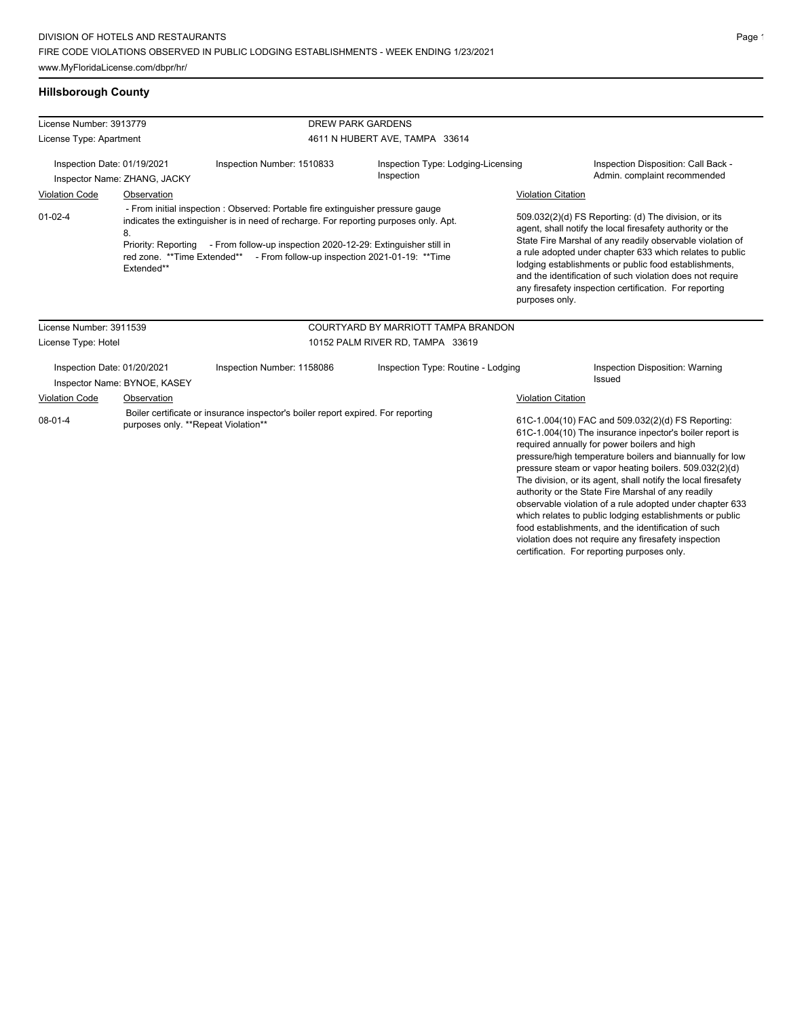www.MyFloridaLicense.com/dbpr/hr/

# **Hillsborough County**

| License Number: 3913779                                                                                                                                                                                                                                                                                                                                                         |                                                             |                                                                                                                         | <b>DREW PARK GARDENS</b>                                                                                                                                                                                                                                                                                                                                                                                                                     |                           |                                                                                                                                                                                                                                                                                                                                                                                                                                                                       |
|---------------------------------------------------------------------------------------------------------------------------------------------------------------------------------------------------------------------------------------------------------------------------------------------------------------------------------------------------------------------------------|-------------------------------------------------------------|-------------------------------------------------------------------------------------------------------------------------|----------------------------------------------------------------------------------------------------------------------------------------------------------------------------------------------------------------------------------------------------------------------------------------------------------------------------------------------------------------------------------------------------------------------------------------------|---------------------------|-----------------------------------------------------------------------------------------------------------------------------------------------------------------------------------------------------------------------------------------------------------------------------------------------------------------------------------------------------------------------------------------------------------------------------------------------------------------------|
| License Type: Apartment                                                                                                                                                                                                                                                                                                                                                         |                                                             |                                                                                                                         | 4611 N HUBERT AVE, TAMPA 33614                                                                                                                                                                                                                                                                                                                                                                                                               |                           |                                                                                                                                                                                                                                                                                                                                                                                                                                                                       |
| Inspection Date: 01/19/2021<br>Inspector Name: ZHANG, JACKY                                                                                                                                                                                                                                                                                                                     |                                                             | Inspection Number: 1510833                                                                                              | Inspection Type: Lodging-Licensing<br>Inspection                                                                                                                                                                                                                                                                                                                                                                                             |                           | Inspection Disposition: Call Back -<br>Admin. complaint recommended                                                                                                                                                                                                                                                                                                                                                                                                   |
| <b>Violation Code</b>                                                                                                                                                                                                                                                                                                                                                           | Observation                                                 |                                                                                                                         |                                                                                                                                                                                                                                                                                                                                                                                                                                              | <b>Violation Citation</b> |                                                                                                                                                                                                                                                                                                                                                                                                                                                                       |
| - From initial inspection : Observed: Portable fire extinguisher pressure gauge<br>$01 - 02 - 4$<br>indicates the extinguisher is in need of recharge. For reporting purposes only. Apt.<br>8.<br>Priority: Reporting - From follow-up inspection 2020-12-29: Extinguisher still in<br>red zone. **Time Extended** - From follow-up inspection 2021-01-19: **Time<br>Extended** |                                                             |                                                                                                                         | 509.032(2)(d) FS Reporting: (d) The division, or its<br>agent, shall notify the local firesafety authority or the<br>State Fire Marshal of any readily observable violation of<br>a rule adopted under chapter 633 which relates to public<br>lodging establishments or public food establishments,<br>and the identification of such violation does not require<br>any firesafety inspection certification. For reporting<br>purposes only. |                           |                                                                                                                                                                                                                                                                                                                                                                                                                                                                       |
| License Number: 3911539                                                                                                                                                                                                                                                                                                                                                         |                                                             |                                                                                                                         | COURTYARD BY MARRIOTT TAMPA BRANDON                                                                                                                                                                                                                                                                                                                                                                                                          |                           |                                                                                                                                                                                                                                                                                                                                                                                                                                                                       |
| License Type: Hotel                                                                                                                                                                                                                                                                                                                                                             |                                                             |                                                                                                                         | 10152 PALM RIVER RD, TAMPA 33619                                                                                                                                                                                                                                                                                                                                                                                                             |                           |                                                                                                                                                                                                                                                                                                                                                                                                                                                                       |
|                                                                                                                                                                                                                                                                                                                                                                                 | Inspection Date: 01/20/2021<br>Inspector Name: BYNOE, KASEY | Inspection Number: 1158086                                                                                              | Inspection Type: Routine - Lodging                                                                                                                                                                                                                                                                                                                                                                                                           |                           | Inspection Disposition: Warning<br>Issued                                                                                                                                                                                                                                                                                                                                                                                                                             |
| Violation Code                                                                                                                                                                                                                                                                                                                                                                  | Observation                                                 |                                                                                                                         |                                                                                                                                                                                                                                                                                                                                                                                                                                              | Violation Citation        |                                                                                                                                                                                                                                                                                                                                                                                                                                                                       |
| $08-01-4$                                                                                                                                                                                                                                                                                                                                                                       |                                                             | Boiler certificate or insurance inspector's boiler report expired. For reporting<br>purposes only. **Repeat Violation** |                                                                                                                                                                                                                                                                                                                                                                                                                                              |                           | 61C-1.004(10) FAC and 509.032(2)(d) FS Reporting:<br>61C-1.004(10) The insurance inpector's boiler report is<br>required annually for power boilers and high<br>pressure/high temperature boilers and biannually for low<br>pressure steam or vapor heating boilers. 509.032(2)(d)<br>The division, or its agent, shall notify the local firesafety<br>authority or the State Fire Marshal of any readily<br>cheen/alle violation of a rule adopted under chapter 633 |

observable violation of a rule adopted under chapter 633 which relates to public lodging establishments or public food establishments, and the identification of such

violation does not require any firesafety inspection certification. For reporting purposes only.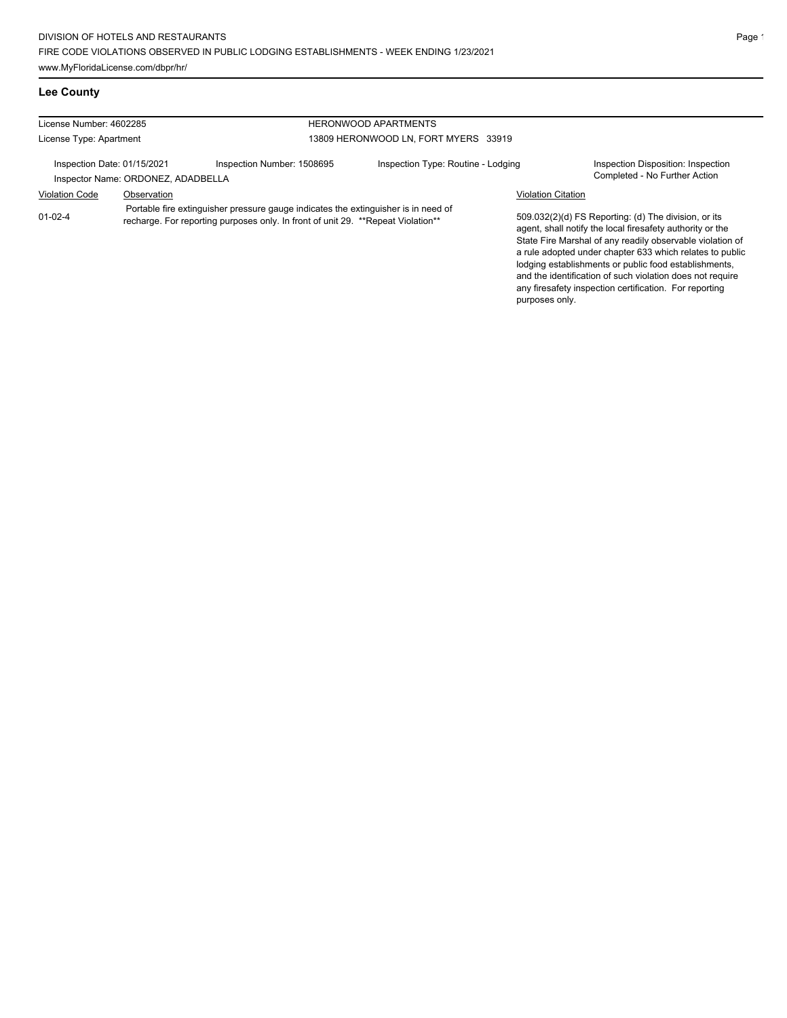| License Number: 4602285<br><b>HERONWOOD APARTMENTS</b> |                                    |                                                                                                                                                                         |                                      |                           |                                                                                                                                                                                                                                                                                                     |
|--------------------------------------------------------|------------------------------------|-------------------------------------------------------------------------------------------------------------------------------------------------------------------------|--------------------------------------|---------------------------|-----------------------------------------------------------------------------------------------------------------------------------------------------------------------------------------------------------------------------------------------------------------------------------------------------|
| License Type: Apartment                                |                                    |                                                                                                                                                                         | 13809 HERONWOOD LN, FORT MYERS 33919 |                           |                                                                                                                                                                                                                                                                                                     |
| Inspection Date: 01/15/2021                            | Inspector Name: ORDONEZ, ADADBELLA | Inspection Number: 1508695                                                                                                                                              | Inspection Type: Routine - Lodging   |                           | Inspection Disposition: Inspection<br>Completed - No Further Action                                                                                                                                                                                                                                 |
| <b>Violation Code</b>                                  | Observation                        |                                                                                                                                                                         |                                      | <b>Violation Citation</b> |                                                                                                                                                                                                                                                                                                     |
| $01 - 02 - 4$                                          |                                    | Portable fire extinguisher pressure gauge indicates the extinguisher is in need of<br>recharge. For reporting purposes only. In front of unit 29. ** Repeat Violation** |                                      |                           | 509.032(2)(d) FS Reporting: (d) The division, or its<br>agent, shall notify the local firesafety authority or the<br>State Fire Marshal of any readily observable violation of<br>a rule adopted under chapter 633 which relates to public<br>lodging establishments or public food establishments, |

and the identification of such violation does not require any firesafety inspection certification. For reporting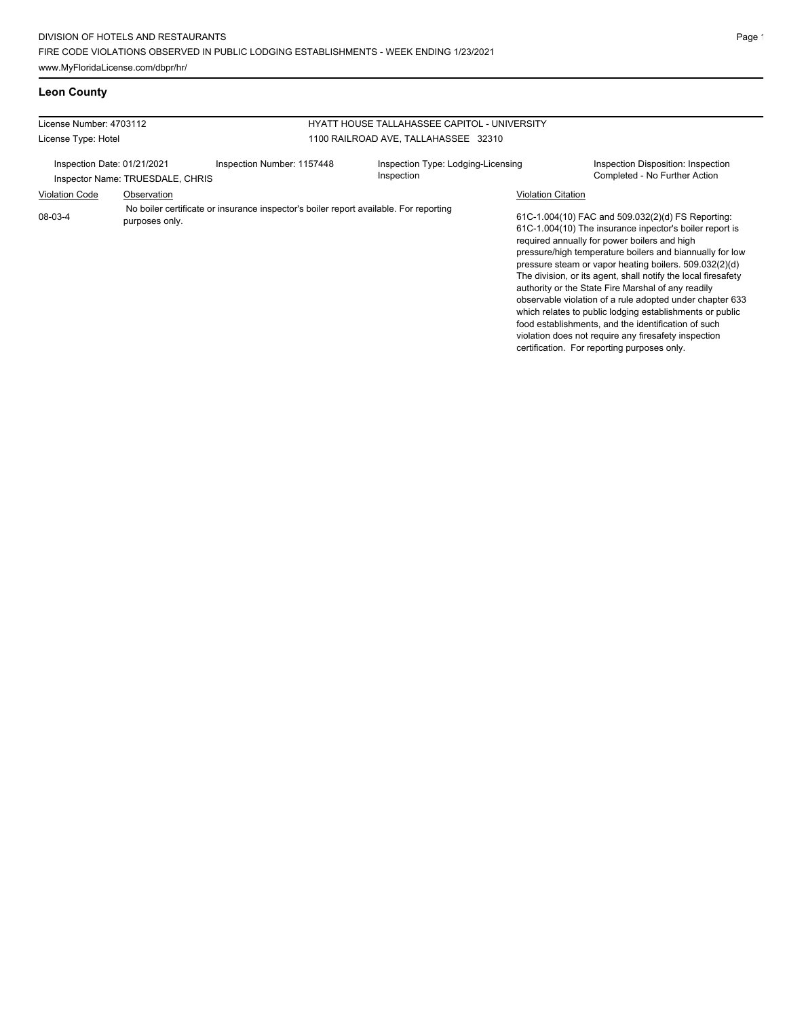| License Number: 4703112                                         |                |                                                                                       | HYATT HOUSE TALLAHASSEE CAPITOL - UNIVERSITY     |                           |                                                                                                                                                                                                                                                                                                                                                                                                                                                                                                                                                                                          |  |
|-----------------------------------------------------------------|----------------|---------------------------------------------------------------------------------------|--------------------------------------------------|---------------------------|------------------------------------------------------------------------------------------------------------------------------------------------------------------------------------------------------------------------------------------------------------------------------------------------------------------------------------------------------------------------------------------------------------------------------------------------------------------------------------------------------------------------------------------------------------------------------------------|--|
| License Type: Hotel                                             |                |                                                                                       | 1100 RAILROAD AVE, TALLAHASSEE 32310             |                           |                                                                                                                                                                                                                                                                                                                                                                                                                                                                                                                                                                                          |  |
| Inspection Date: 01/21/2021<br>Inspector Name: TRUESDALE, CHRIS |                | Inspection Number: 1157448                                                            | Inspection Type: Lodging-Licensing<br>Inspection |                           | Inspection Disposition: Inspection<br>Completed - No Further Action                                                                                                                                                                                                                                                                                                                                                                                                                                                                                                                      |  |
| <b>Violation Code</b>                                           | Observation    |                                                                                       |                                                  | <b>Violation Citation</b> |                                                                                                                                                                                                                                                                                                                                                                                                                                                                                                                                                                                          |  |
| 08-03-4                                                         | purposes only. | No boiler certificate or insurance inspector's boiler report available. For reporting |                                                  |                           | 61C-1.004(10) FAC and 509.032(2)(d) FS Reporting:<br>61C-1.004(10) The insurance inpector's boiler report is<br>required annually for power boilers and high<br>pressure/high temperature boilers and biannually for low<br>pressure steam or vapor heating boilers. 509.032(2)(d)<br>The division, or its agent, shall notify the local firesafety<br>authority or the State Fire Marshal of any readily<br>observable violation of a rule adopted under chapter 633<br>which relates to public lodging establishments or public<br>food establishments, and the identification of such |  |

violation does not require any firesafety inspection certification. For reporting purposes only.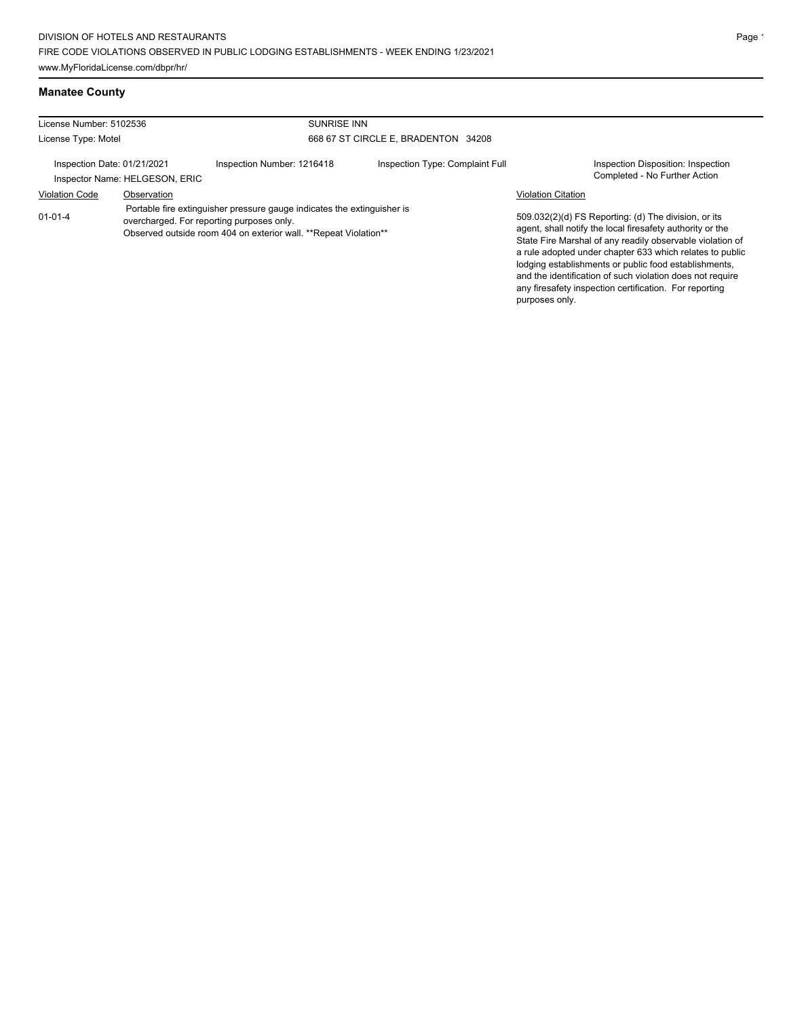| License Number: 5102536<br><b>SUNRISE INN</b>                                                                                                                                                             |                                |                            |                                                                                                                                                                                                                                                                                                                                                                                                                            |                                                                     |
|-----------------------------------------------------------------------------------------------------------------------------------------------------------------------------------------------------------|--------------------------------|----------------------------|----------------------------------------------------------------------------------------------------------------------------------------------------------------------------------------------------------------------------------------------------------------------------------------------------------------------------------------------------------------------------------------------------------------------------|---------------------------------------------------------------------|
| License Type: Motel                                                                                                                                                                                       |                                |                            | 668 67 ST CIRCLE E. BRADENTON 34208                                                                                                                                                                                                                                                                                                                                                                                        |                                                                     |
| Inspection Date: 01/21/2021                                                                                                                                                                               | Inspector Name: HELGESON, ERIC | Inspection Number: 1216418 | Inspection Type: Complaint Full                                                                                                                                                                                                                                                                                                                                                                                            | Inspection Disposition: Inspection<br>Completed - No Further Action |
| <b>Violation Code</b>                                                                                                                                                                                     | Observation                    |                            |                                                                                                                                                                                                                                                                                                                                                                                                                            | <b>Violation Citation</b>                                           |
| Portable fire extinguisher pressure gauge indicates the extinguisher is<br>$01 - 01 - 4$<br>overcharged. For reporting purposes only.<br>Observed outside room 404 on exterior wall. **Repeat Violation** |                                |                            | 509.032(2)(d) FS Reporting: (d) The division, or its<br>agent, shall notify the local firesafety authority or the<br>State Fire Marshal of any readily observable violation of<br>a rule adopted under chapter 633 which relates to public<br>lodging establishments or public food establishments,<br>and the identification of such violation does not require<br>any firesafety inspection certification. For reporting |                                                                     |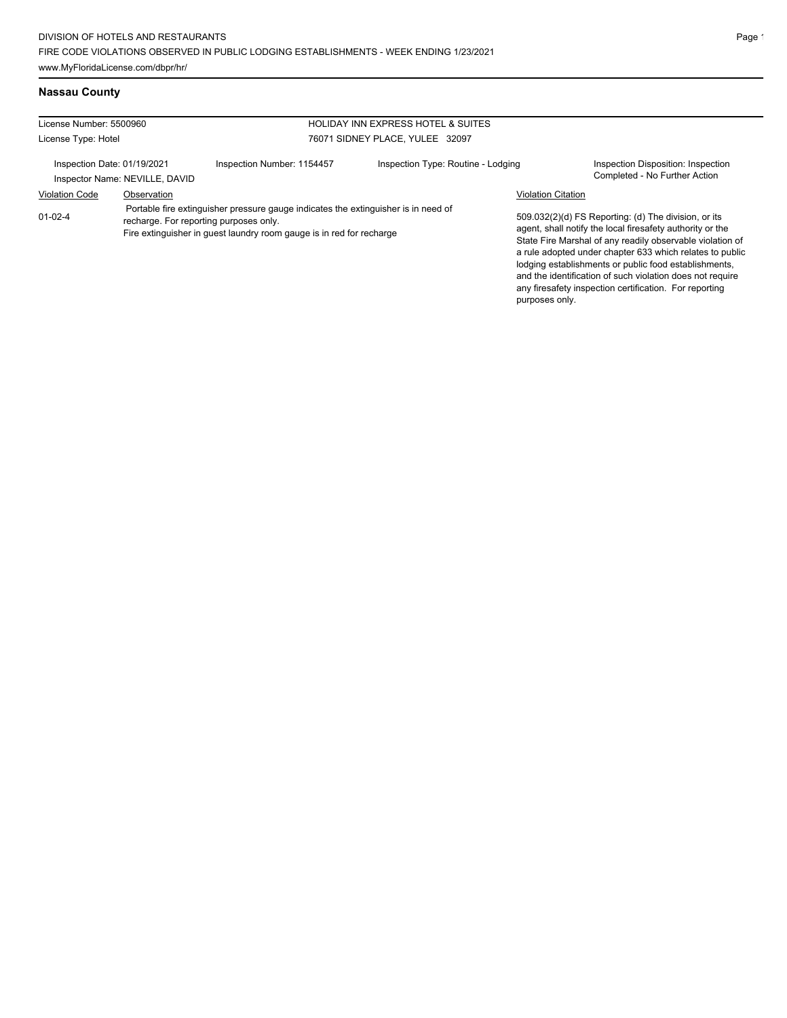# **Nassau County**

| License Number: 5500960     |                                |                                                                                                                                                                                                      | <b>HOLIDAY INN EXPRESS HOTEL &amp; SUITES</b> |                           |                                                                                                                                                                                                                                                                                                                                                                                                                            |
|-----------------------------|--------------------------------|------------------------------------------------------------------------------------------------------------------------------------------------------------------------------------------------------|-----------------------------------------------|---------------------------|----------------------------------------------------------------------------------------------------------------------------------------------------------------------------------------------------------------------------------------------------------------------------------------------------------------------------------------------------------------------------------------------------------------------------|
| License Type: Hotel         |                                |                                                                                                                                                                                                      | 76071 SIDNEY PLACE, YULEE 32097               |                           |                                                                                                                                                                                                                                                                                                                                                                                                                            |
| Inspection Date: 01/19/2021 | Inspector Name: NEVILLE, DAVID | Inspection Number: 1154457                                                                                                                                                                           | Inspection Type: Routine - Lodging            |                           | Inspection Disposition: Inspection<br>Completed - No Further Action                                                                                                                                                                                                                                                                                                                                                        |
| <b>Violation Code</b>       | Observation                    |                                                                                                                                                                                                      |                                               | <b>Violation Citation</b> |                                                                                                                                                                                                                                                                                                                                                                                                                            |
| $01-02-4$                   |                                | Portable fire extinguisher pressure gauge indicates the extinguisher is in need of<br>recharge. For reporting purposes only.<br>Fire extinguisher in quest laundry room gauge is in red for recharge |                                               | purposes only.            | 509.032(2)(d) FS Reporting: (d) The division, or its<br>agent, shall notify the local firesafety authority or the<br>State Fire Marshal of any readily observable violation of<br>a rule adopted under chapter 633 which relates to public<br>lodging establishments or public food establishments.<br>and the identification of such violation does not require<br>any firesafety inspection certification. For reporting |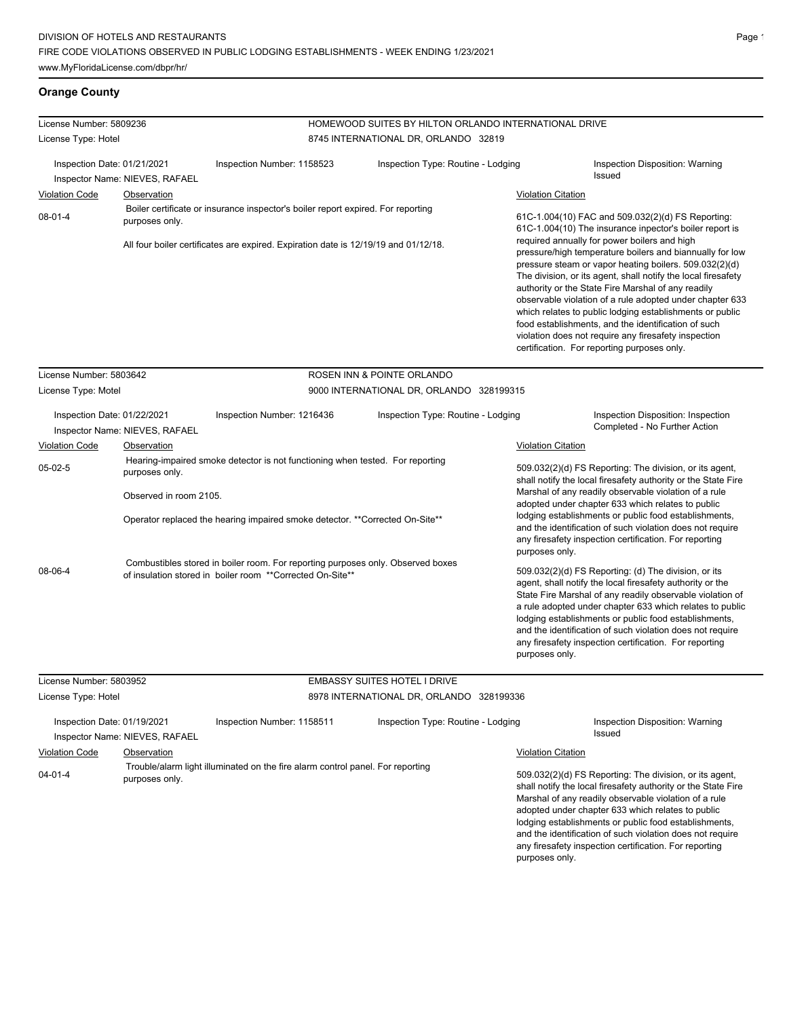#### **Orange County**

| License Number: 5809236                                               |                                                                 |                                                                                                                                                                                                       | HOMEWOOD SUITES BY HILTON ORLANDO INTERNATIONAL DRIVE |                           |                                                                                                                                                                                                                                                                                                                                                                                                                                                                                                                                                                                                                                                                                                                                              |
|-----------------------------------------------------------------------|-----------------------------------------------------------------|-------------------------------------------------------------------------------------------------------------------------------------------------------------------------------------------------------|-------------------------------------------------------|---------------------------|----------------------------------------------------------------------------------------------------------------------------------------------------------------------------------------------------------------------------------------------------------------------------------------------------------------------------------------------------------------------------------------------------------------------------------------------------------------------------------------------------------------------------------------------------------------------------------------------------------------------------------------------------------------------------------------------------------------------------------------------|
| License Type: Hotel                                                   |                                                                 |                                                                                                                                                                                                       | 8745 INTERNATIONAL DR, ORLANDO 32819                  |                           |                                                                                                                                                                                                                                                                                                                                                                                                                                                                                                                                                                                                                                                                                                                                              |
| Inspection Date: 01/21/2021<br><b>Violation Code</b><br>$08 - 01 - 4$ | Inspector Name: NIEVES, RAFAEL<br>Observation<br>purposes only. | Inspection Number: 1158523<br>Boiler certificate or insurance inspector's boiler report expired. For reporting<br>All four boiler certificates are expired. Expiration date is 12/19/19 and 01/12/18. | Inspection Type: Routine - Lodging                    | <b>Violation Citation</b> | Inspection Disposition: Warning<br>Issued<br>61C-1.004(10) FAC and 509.032(2)(d) FS Reporting:<br>61C-1.004(10) The insurance inpector's boiler report is<br>required annually for power boilers and high<br>pressure/high temperature boilers and biannually for low<br>pressure steam or vapor heating boilers. 509.032(2)(d)<br>The division, or its agent, shall notify the local firesafety<br>authority or the State Fire Marshal of any readily<br>observable violation of a rule adopted under chapter 633<br>which relates to public lodging establishments or public<br>food establishments, and the identification of such<br>violation does not require any firesafety inspection<br>certification. For reporting purposes only. |
| License Number: 5803642                                               |                                                                 |                                                                                                                                                                                                       | ROSEN INN & POINTE ORLANDO                            |                           |                                                                                                                                                                                                                                                                                                                                                                                                                                                                                                                                                                                                                                                                                                                                              |
| License Type: Motel                                                   |                                                                 |                                                                                                                                                                                                       | 9000 INTERNATIONAL DR, ORLANDO 328199315              |                           |                                                                                                                                                                                                                                                                                                                                                                                                                                                                                                                                                                                                                                                                                                                                              |
| Inspection Date: 01/22/2021                                           | Inspector Name: NIEVES, RAFAEL                                  | Inspection Number: 1216436                                                                                                                                                                            | Inspection Type: Routine - Lodging                    |                           | Inspection Disposition: Inspection<br>Completed - No Further Action                                                                                                                                                                                                                                                                                                                                                                                                                                                                                                                                                                                                                                                                          |
| Violation Code                                                        | Observation                                                     |                                                                                                                                                                                                       |                                                       | <b>Violation Citation</b> |                                                                                                                                                                                                                                                                                                                                                                                                                                                                                                                                                                                                                                                                                                                                              |
| $05-02-5$                                                             | purposes only.<br>Observed in room 2105.                        | Hearing-impaired smoke detector is not functioning when tested. For reporting<br>Operator replaced the hearing impaired smoke detector. **Corrected On-Site**                                         |                                                       | purposes only.            | 509.032(2)(d) FS Reporting: The division, or its agent,<br>shall notify the local firesafety authority or the State Fire<br>Marshal of any readily observable violation of a rule<br>adopted under chapter 633 which relates to public<br>lodging establishments or public food establishments,<br>and the identification of such violation does not require<br>any firesafety inspection certification. For reporting                                                                                                                                                                                                                                                                                                                       |
| 08-06-4                                                               |                                                                 | Combustibles stored in boiler room. For reporting purposes only. Observed boxes<br>of insulation stored in boiler room **Corrected On-Site**                                                          |                                                       | purposes only.            | 509.032(2)(d) FS Reporting: (d) The division, or its<br>agent, shall notify the local firesafety authority or the<br>State Fire Marshal of any readily observable violation of<br>a rule adopted under chapter 633 which relates to public<br>lodging establishments or public food establishments,<br>and the identification of such violation does not require<br>any firesafety inspection certification. For reporting                                                                                                                                                                                                                                                                                                                   |
| License Number: 5803952                                               |                                                                 |                                                                                                                                                                                                       | <b>EMBASSY SUITES HOTEL I DRIVE</b>                   |                           |                                                                                                                                                                                                                                                                                                                                                                                                                                                                                                                                                                                                                                                                                                                                              |
| License Type: Hotel                                                   |                                                                 |                                                                                                                                                                                                       | 8978 INTERNATIONAL DR, ORLANDO 328199336              |                           |                                                                                                                                                                                                                                                                                                                                                                                                                                                                                                                                                                                                                                                                                                                                              |
| Inspection Date: 01/19/2021<br>Violation Code                         | Inspector Name: NIEVES, RAFAEL<br>Observation                   | Inspection Number: 1158511                                                                                                                                                                            | Inspection Type: Routine - Lodging                    | <b>Violation Citation</b> | Inspection Disposition: Warning<br>Issued                                                                                                                                                                                                                                                                                                                                                                                                                                                                                                                                                                                                                                                                                                    |

04-01-4 Trouble/alarm light illuminated on the fire alarm control panel. For reporting purposes only.

#### 509.032(2)(d) FS Reporting: The division, or its agent, shall notify the local firesafety authority or the State Fire Marshal of any readily observable violation of a rule adopted under chapter 633 which relates to public lodging establishments or public food establishments, and the identification of such violation does not require any firesafety inspection certification. For reporting purposes only.

 $\overline{\phantom{0}}$ 

÷,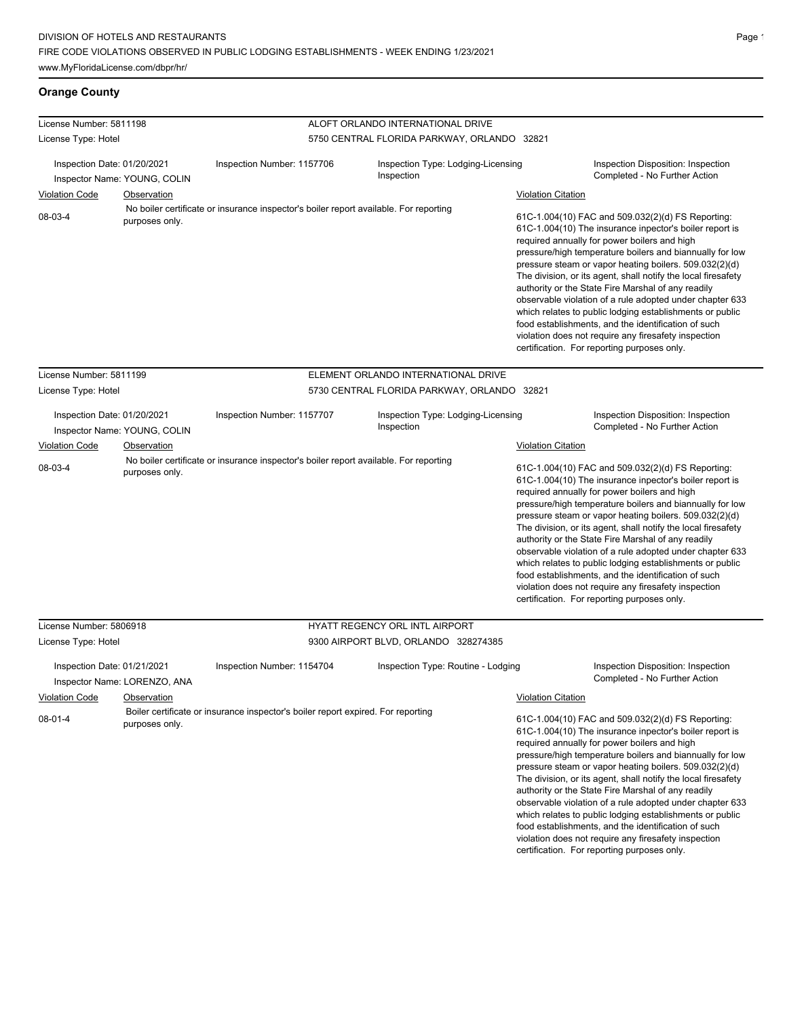# **Orange County**

| License Number: 5811198                |                               |                                                                                       | ALOFT ORLANDO INTERNATIONAL DRIVE                |                           |                                                                                                                                                                                                                                                                                                                                                                                                                                                                                                                                                                                                                                                                                                 |  |  |
|----------------------------------------|-------------------------------|---------------------------------------------------------------------------------------|--------------------------------------------------|---------------------------|-------------------------------------------------------------------------------------------------------------------------------------------------------------------------------------------------------------------------------------------------------------------------------------------------------------------------------------------------------------------------------------------------------------------------------------------------------------------------------------------------------------------------------------------------------------------------------------------------------------------------------------------------------------------------------------------------|--|--|
| License Type: Hotel                    |                               |                                                                                       | 5750 CENTRAL FLORIDA PARKWAY, ORLANDO 32821      |                           |                                                                                                                                                                                                                                                                                                                                                                                                                                                                                                                                                                                                                                                                                                 |  |  |
| Inspection Date: 01/20/2021            | Inspector Name: YOUNG, COLIN  | Inspection Number: 1157706                                                            | Inspection Type: Lodging-Licensing<br>Inspection |                           | Inspection Disposition: Inspection<br>Completed - No Further Action                                                                                                                                                                                                                                                                                                                                                                                                                                                                                                                                                                                                                             |  |  |
| <b>Violation Code</b>                  | Observation                   | No boiler certificate or insurance inspector's boiler report available. For reporting |                                                  | <b>Violation Citation</b> |                                                                                                                                                                                                                                                                                                                                                                                                                                                                                                                                                                                                                                                                                                 |  |  |
| 08-03-4                                | purposes only.                |                                                                                       |                                                  |                           | 61C-1.004(10) FAC and 509.032(2)(d) FS Reporting:<br>61C-1.004(10) The insurance inpector's boiler report is<br>required annually for power boilers and high<br>pressure/high temperature boilers and biannually for low<br>pressure steam or vapor heating boilers. 509.032(2)(d)<br>The division, or its agent, shall notify the local firesafety<br>authority or the State Fire Marshal of any readily<br>observable violation of a rule adopted under chapter 633<br>which relates to public lodging establishments or public<br>food establishments, and the identification of such<br>violation does not require any firesafety inspection<br>certification. For reporting purposes only. |  |  |
| License Number: 5811199                |                               |                                                                                       | ELEMENT ORLANDO INTERNATIONAL DRIVE              |                           |                                                                                                                                                                                                                                                                                                                                                                                                                                                                                                                                                                                                                                                                                                 |  |  |
| License Type: Hotel                    |                               |                                                                                       | 5730 CENTRAL FLORIDA PARKWAY, ORLANDO 32821      |                           |                                                                                                                                                                                                                                                                                                                                                                                                                                                                                                                                                                                                                                                                                                 |  |  |
| Inspection Date: 01/20/2021            | Inspector Name: YOUNG, COLIN  | Inspection Number: 1157707                                                            | Inspection Type: Lodging-Licensing<br>Inspection |                           | Inspection Disposition: Inspection<br>Completed - No Further Action                                                                                                                                                                                                                                                                                                                                                                                                                                                                                                                                                                                                                             |  |  |
| <b>Violation Code</b>                  | Observation                   |                                                                                       |                                                  | <b>Violation Citation</b> |                                                                                                                                                                                                                                                                                                                                                                                                                                                                                                                                                                                                                                                                                                 |  |  |
| 08-03-4                                | purposes only.                | No boiler certificate or insurance inspector's boiler report available. For reporting |                                                  |                           | 61C-1.004(10) FAC and 509.032(2)(d) FS Reporting:<br>61C-1.004(10) The insurance inpector's boiler report is<br>required annually for power boilers and high<br>pressure/high temperature boilers and biannually for low<br>pressure steam or vapor heating boilers. 509.032(2)(d)<br>The division, or its agent, shall notify the local firesafety<br>authority or the State Fire Marshal of any readily<br>observable violation of a rule adopted under chapter 633<br>which relates to public lodging establishments or public<br>food establishments, and the identification of such<br>violation does not require any firesafety inspection<br>certification. For reporting purposes only. |  |  |
| License Number: 5806918                |                               |                                                                                       | HYATT REGENCY ORL INTL AIRPORT                   |                           |                                                                                                                                                                                                                                                                                                                                                                                                                                                                                                                                                                                                                                                                                                 |  |  |
| License Type: Hotel                    |                               |                                                                                       | 9300 AIRPORT BLVD, ORLANDO 328274385             |                           |                                                                                                                                                                                                                                                                                                                                                                                                                                                                                                                                                                                                                                                                                                 |  |  |
| Inspection Date: 01/21/2021            | Inspector Name: LORENZO, ANA  | Inspection Number: 1154704                                                            | Inspection Type: Routine - Lodging               |                           | Inspection Disposition: Inspection<br>Completed - No Further Action                                                                                                                                                                                                                                                                                                                                                                                                                                                                                                                                                                                                                             |  |  |
| <b>Violation Code</b><br>$08 - 01 - 4$ | Observation<br>purposes only. | Boiler certificate or insurance inspector's boiler report expired. For reporting      |                                                  | <b>Violation Citation</b> | 61C-1.004(10) FAC and 509.032(2)(d) FS Reporting:<br>61C-1.004(10) The insurance inpector's boiler report is<br>required annually for power boilers and high<br>pressure/high temperature boilers and biannually for low<br>pressure steam or vapor heating boilers. 509.032(2)(d)<br>The division, or its agent, shall notify the local firesafety<br>authority or the State Fire Marshal of any readily<br>observable violation of a rule adopted under chapter 633                                                                                                                                                                                                                           |  |  |

which relates to public lodging establishments or public food establishments, and the identification of such violation does not require any firesafety inspection certification. For reporting purposes only.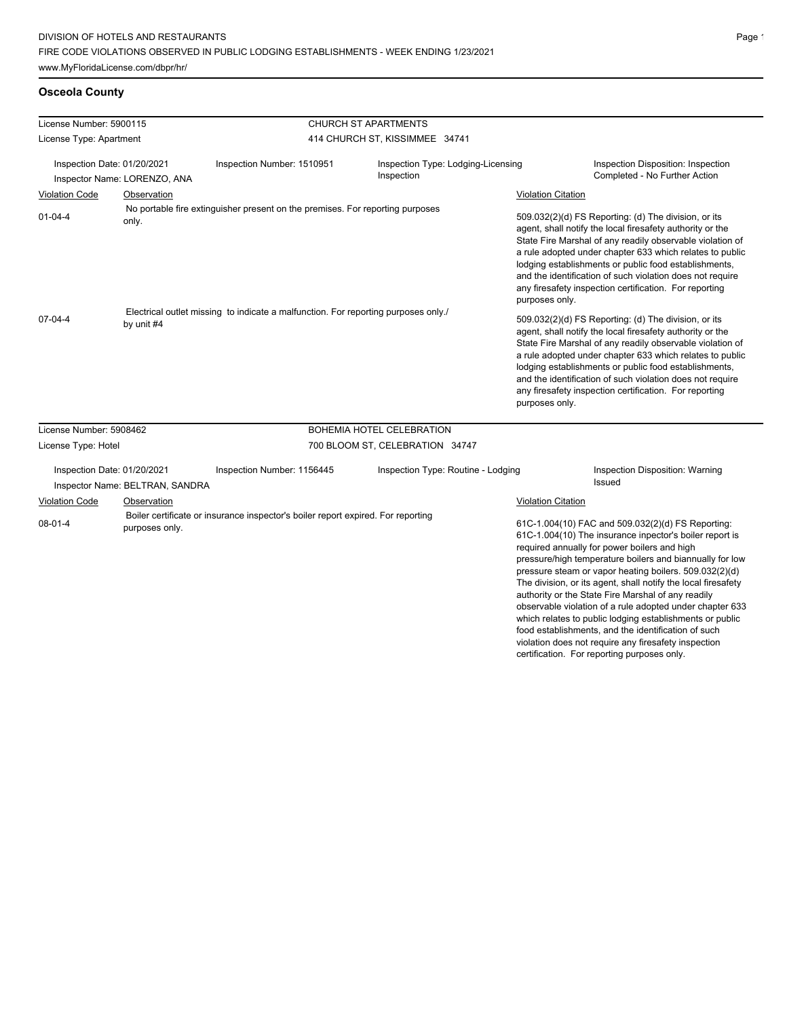# **Osceola County**

| License Number: 5900115 |                                                                |                                                                                    | <b>CHURCH ST APARTMENTS</b>                      |                           |                                                                                                                                                                                                                                                                                                                                                                                                                                                                                                                                                                                                                                                  |
|-------------------------|----------------------------------------------------------------|------------------------------------------------------------------------------------|--------------------------------------------------|---------------------------|--------------------------------------------------------------------------------------------------------------------------------------------------------------------------------------------------------------------------------------------------------------------------------------------------------------------------------------------------------------------------------------------------------------------------------------------------------------------------------------------------------------------------------------------------------------------------------------------------------------------------------------------------|
| License Type: Apartment |                                                                |                                                                                    | 414 CHURCH ST, KISSIMMEE 34741                   |                           |                                                                                                                                                                                                                                                                                                                                                                                                                                                                                                                                                                                                                                                  |
|                         | Inspection Date: 01/20/2021<br>Inspector Name: LORENZO, ANA    | Inspection Number: 1510951                                                         | Inspection Type: Lodging-Licensing<br>Inspection |                           | Inspection Disposition: Inspection<br>Completed - No Further Action                                                                                                                                                                                                                                                                                                                                                                                                                                                                                                                                                                              |
| <b>Violation Code</b>   | Observation                                                    |                                                                                    |                                                  | <b>Violation Citation</b> |                                                                                                                                                                                                                                                                                                                                                                                                                                                                                                                                                                                                                                                  |
| $01 - 04 - 4$           | only.                                                          | No portable fire extinguisher present on the premises. For reporting purposes      |                                                  | purposes only.            | 509.032(2)(d) FS Reporting: (d) The division, or its<br>agent, shall notify the local firesafety authority or the<br>State Fire Marshal of any readily observable violation of<br>a rule adopted under chapter 633 which relates to public<br>lodging establishments or public food establishments,<br>and the identification of such violation does not require<br>any firesafety inspection certification. For reporting                                                                                                                                                                                                                       |
| $07 - 04 - 4$           | by unit #4                                                     | Electrical outlet missing to indicate a malfunction. For reporting purposes only./ |                                                  | purposes only.            | 509.032(2)(d) FS Reporting: (d) The division, or its<br>agent, shall notify the local firesafety authority or the<br>State Fire Marshal of any readily observable violation of<br>a rule adopted under chapter 633 which relates to public<br>lodging establishments or public food establishments,<br>and the identification of such violation does not require<br>any firesafety inspection certification. For reporting                                                                                                                                                                                                                       |
| License Number: 5908462 |                                                                |                                                                                    | BOHEMIA HOTEL CELEBRATION                        |                           |                                                                                                                                                                                                                                                                                                                                                                                                                                                                                                                                                                                                                                                  |
| License Type: Hotel     |                                                                | 700 BLOOM ST, CELEBRATION 34747                                                    |                                                  |                           |                                                                                                                                                                                                                                                                                                                                                                                                                                                                                                                                                                                                                                                  |
|                         | Inspection Date: 01/20/2021<br>Inspector Name: BELTRAN, SANDRA | Inspection Number: 1156445                                                         | Inspection Type: Routine - Lodging               |                           | <b>Inspection Disposition: Warning</b><br><b>Issued</b>                                                                                                                                                                                                                                                                                                                                                                                                                                                                                                                                                                                          |
| <b>Violation Code</b>   | Observation                                                    |                                                                                    |                                                  | <b>Violation Citation</b> |                                                                                                                                                                                                                                                                                                                                                                                                                                                                                                                                                                                                                                                  |
| $08 - 01 - 4$           | purposes only.                                                 | Boiler certificate or insurance inspector's boiler report expired. For reporting   |                                                  |                           | 61C-1.004(10) FAC and 509.032(2)(d) FS Reporting:<br>61C-1.004(10) The insurance inpector's boiler report is<br>required annually for power boilers and high<br>pressure/high temperature boilers and biannually for low<br>pressure steam or vapor heating boilers. 509.032(2)(d)<br>The division, or its agent, shall notify the local firesafety<br>authority or the State Fire Marshal of any readily<br>observable violation of a rule adopted under chapter 633<br>which relates to public lodging establishments or public<br>food establishments, and the identification of such<br>violation does not require any firesafety inspection |

certification. For reporting purposes only.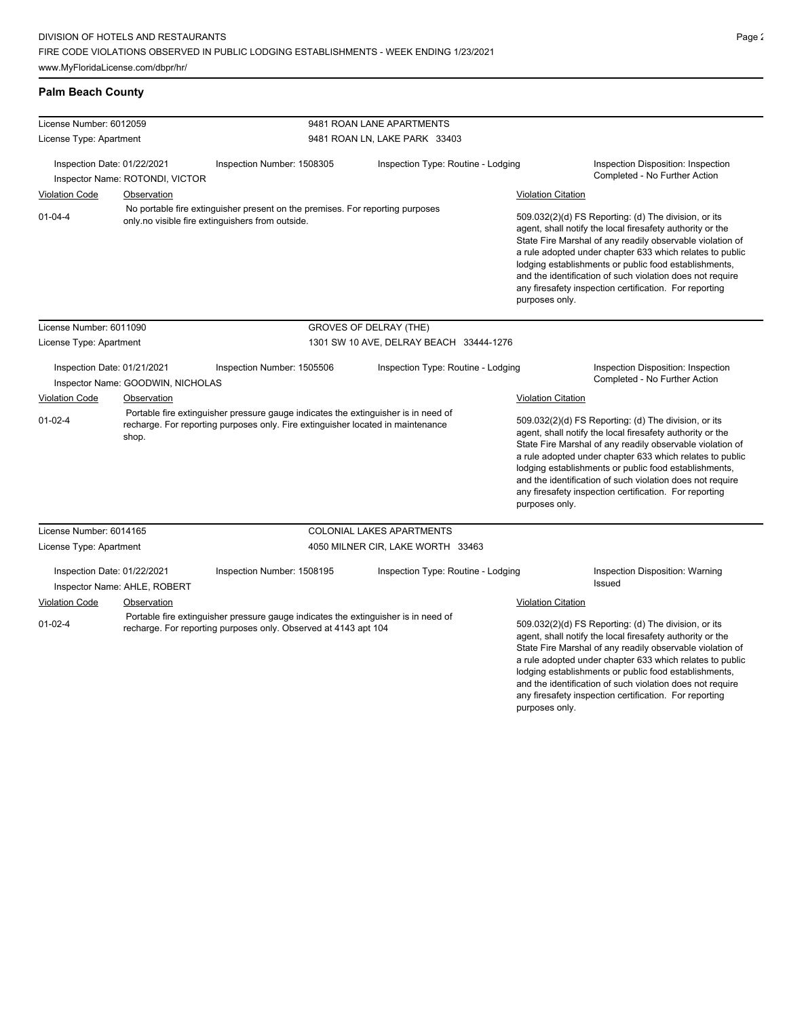# **Palm Beach County**

| License Number: 6012059     |                                   |                                                                                                                                                       | 9481 ROAN LANE APARTMENTS                                                                                                                                             |                                                                                                                                                                                                                                                                                                                                                                                                                            |                                                                                                                                                                                                                                                                                                                                                                                                                                              |
|-----------------------------|-----------------------------------|-------------------------------------------------------------------------------------------------------------------------------------------------------|-----------------------------------------------------------------------------------------------------------------------------------------------------------------------|----------------------------------------------------------------------------------------------------------------------------------------------------------------------------------------------------------------------------------------------------------------------------------------------------------------------------------------------------------------------------------------------------------------------------|----------------------------------------------------------------------------------------------------------------------------------------------------------------------------------------------------------------------------------------------------------------------------------------------------------------------------------------------------------------------------------------------------------------------------------------------|
| License Type: Apartment     |                                   |                                                                                                                                                       | 9481 ROAN LN, LAKE PARK 33403                                                                                                                                         |                                                                                                                                                                                                                                                                                                                                                                                                                            |                                                                                                                                                                                                                                                                                                                                                                                                                                              |
| Inspection Date: 01/22/2021 |                                   | Inspection Number: 1508305                                                                                                                            | Inspection Type: Routine - Lodging                                                                                                                                    |                                                                                                                                                                                                                                                                                                                                                                                                                            | Inspection Disposition: Inspection                                                                                                                                                                                                                                                                                                                                                                                                           |
|                             | Inspector Name: ROTONDI, VICTOR   |                                                                                                                                                       |                                                                                                                                                                       |                                                                                                                                                                                                                                                                                                                                                                                                                            | Completed - No Further Action                                                                                                                                                                                                                                                                                                                                                                                                                |
| <b>Violation Code</b>       | Observation                       |                                                                                                                                                       |                                                                                                                                                                       | <b>Violation Citation</b>                                                                                                                                                                                                                                                                                                                                                                                                  |                                                                                                                                                                                                                                                                                                                                                                                                                                              |
| $01 - 04 - 4$               |                                   | No portable fire extinguisher present on the premises. For reporting purposes<br>only no visible fire extinguishers from outside.                     |                                                                                                                                                                       | purposes only.                                                                                                                                                                                                                                                                                                                                                                                                             | 509.032(2)(d) FS Reporting: (d) The division, or its<br>agent, shall notify the local firesafety authority or the<br>State Fire Marshal of any readily observable violation of<br>a rule adopted under chapter 633 which relates to public<br>lodging establishments or public food establishments,<br>and the identification of such violation does not require<br>any firesafety inspection certification. For reporting                   |
| License Number: 6011090     |                                   |                                                                                                                                                       | <b>GROVES OF DELRAY (THE)</b>                                                                                                                                         |                                                                                                                                                                                                                                                                                                                                                                                                                            |                                                                                                                                                                                                                                                                                                                                                                                                                                              |
| License Type: Apartment     |                                   |                                                                                                                                                       | 1301 SW 10 AVE, DELRAY BEACH 33444-1276                                                                                                                               |                                                                                                                                                                                                                                                                                                                                                                                                                            |                                                                                                                                                                                                                                                                                                                                                                                                                                              |
| Inspection Date: 01/21/2021 | Inspector Name: GOODWIN, NICHOLAS | Inspection Number: 1505506                                                                                                                            | Inspection Type: Routine - Lodging                                                                                                                                    |                                                                                                                                                                                                                                                                                                                                                                                                                            | Inspection Disposition: Inspection<br>Completed - No Further Action                                                                                                                                                                                                                                                                                                                                                                          |
| <b>Violation Code</b>       | Observation                       |                                                                                                                                                       |                                                                                                                                                                       | <b>Violation Citation</b>                                                                                                                                                                                                                                                                                                                                                                                                  |                                                                                                                                                                                                                                                                                                                                                                                                                                              |
| $01 - 02 - 4$<br>shop.      |                                   |                                                                                                                                                       | Portable fire extinguisher pressure gauge indicates the extinguisher is in need of<br>recharge. For reporting purposes only. Fire extinguisher located in maintenance |                                                                                                                                                                                                                                                                                                                                                                                                                            | 509.032(2)(d) FS Reporting: (d) The division, or its<br>agent, shall notify the local firesafety authority or the<br>State Fire Marshal of any readily observable violation of<br>a rule adopted under chapter 633 which relates to public<br>lodging establishments or public food establishments,<br>and the identification of such violation does not require<br>any firesafety inspection certification. For reporting<br>purposes only. |
| License Number: 6014165     |                                   |                                                                                                                                                       | COLONIAL LAKES APARTMENTS                                                                                                                                             |                                                                                                                                                                                                                                                                                                                                                                                                                            |                                                                                                                                                                                                                                                                                                                                                                                                                                              |
| License Type: Apartment     |                                   |                                                                                                                                                       | 4050 MILNER CIR, LAKE WORTH 33463                                                                                                                                     |                                                                                                                                                                                                                                                                                                                                                                                                                            |                                                                                                                                                                                                                                                                                                                                                                                                                                              |
| Inspection Date: 01/22/2021 | Inspector Name: AHLE, ROBERT      | Inspection Number: 1508195                                                                                                                            | Inspection Type: Routine - Lodging                                                                                                                                    |                                                                                                                                                                                                                                                                                                                                                                                                                            | Inspection Disposition: Warning<br>Issued                                                                                                                                                                                                                                                                                                                                                                                                    |
| Violation Code              | Observation                       |                                                                                                                                                       |                                                                                                                                                                       | <b>Violation Citation</b>                                                                                                                                                                                                                                                                                                                                                                                                  |                                                                                                                                                                                                                                                                                                                                                                                                                                              |
| $01-02-4$                   |                                   | Portable fire extinguisher pressure gauge indicates the extinguisher is in need of<br>recharge. For reporting purposes only. Observed at 4143 apt 104 |                                                                                                                                                                       | 509.032(2)(d) FS Reporting: (d) The division, or its<br>agent, shall notify the local firesafety authority or the<br>State Fire Marshal of any readily observable violation of<br>a rule adopted under chapter 633 which relates to public<br>lodging establishments or public food establishments,<br>and the identification of such violation does not require<br>any firesafety inspection certification. For reporting |                                                                                                                                                                                                                                                                                                                                                                                                                                              |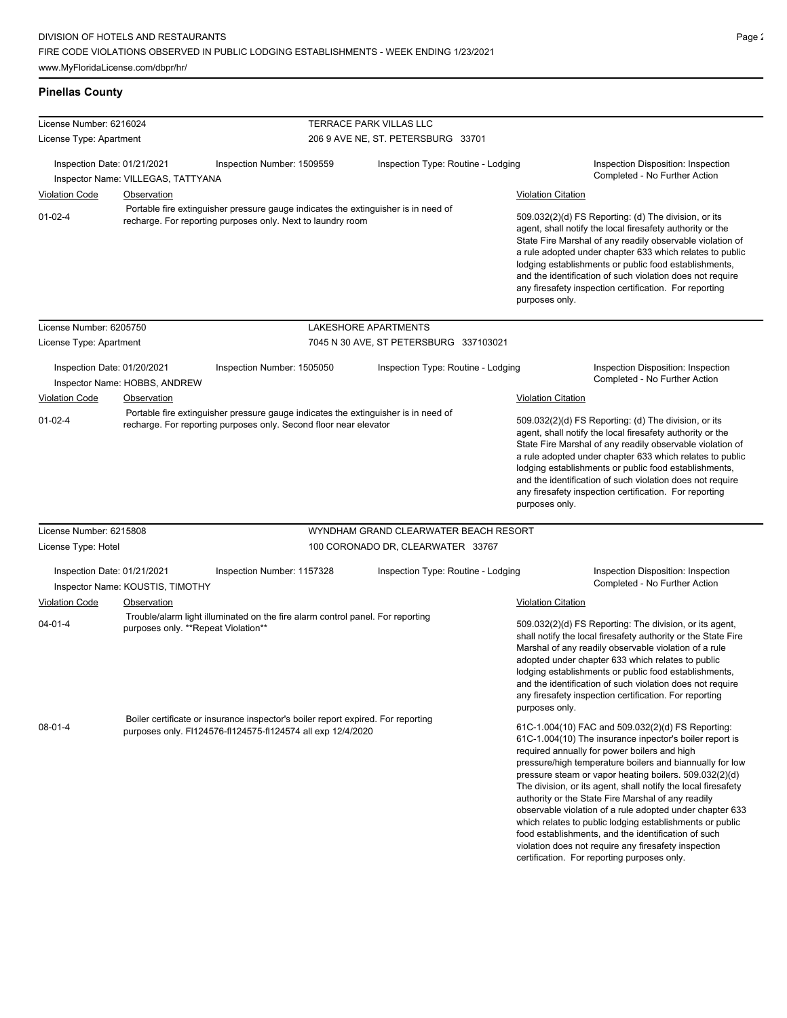# **Pinellas County**

| License Number: 6216024                                           |                                              |                                                                                                                                                   | TERRACE PARK VILLAS LLC                |                                                                                                                                                                                                                                                                                                                                                                                      |                                                                                                                                                                                                                                                                                                                                                                                                                                                                                                                                                                                                                                                                                                 |
|-------------------------------------------------------------------|----------------------------------------------|---------------------------------------------------------------------------------------------------------------------------------------------------|----------------------------------------|--------------------------------------------------------------------------------------------------------------------------------------------------------------------------------------------------------------------------------------------------------------------------------------------------------------------------------------------------------------------------------------|-------------------------------------------------------------------------------------------------------------------------------------------------------------------------------------------------------------------------------------------------------------------------------------------------------------------------------------------------------------------------------------------------------------------------------------------------------------------------------------------------------------------------------------------------------------------------------------------------------------------------------------------------------------------------------------------------|
| License Type: Apartment                                           |                                              |                                                                                                                                                   | 206 9 AVE NE, ST. PETERSBURG 33701     |                                                                                                                                                                                                                                                                                                                                                                                      |                                                                                                                                                                                                                                                                                                                                                                                                                                                                                                                                                                                                                                                                                                 |
| Inspection Date: 01/21/2021                                       | Inspector Name: VILLEGAS, TATTYANA           | Inspection Number: 1509559                                                                                                                        | Inspection Type: Routine - Lodging     |                                                                                                                                                                                                                                                                                                                                                                                      | Inspection Disposition: Inspection<br>Completed - No Further Action                                                                                                                                                                                                                                                                                                                                                                                                                                                                                                                                                                                                                             |
| <b>Violation Code</b>                                             | <b>Observation</b>                           |                                                                                                                                                   |                                        | <b>Violation Citation</b>                                                                                                                                                                                                                                                                                                                                                            |                                                                                                                                                                                                                                                                                                                                                                                                                                                                                                                                                                                                                                                                                                 |
| $01-02-4$                                                         |                                              | Portable fire extinguisher pressure gauge indicates the extinguisher is in need of<br>recharge. For reporting purposes only. Next to laundry room |                                        | purposes only.                                                                                                                                                                                                                                                                                                                                                                       | 509.032(2)(d) FS Reporting: (d) The division, or its<br>agent, shall notify the local firesafety authority or the<br>State Fire Marshal of any readily observable violation of<br>a rule adopted under chapter 633 which relates to public<br>lodging establishments or public food establishments,<br>and the identification of such violation does not require<br>any firesafety inspection certification. For reporting                                                                                                                                                                                                                                                                      |
| License Number: 6205750                                           |                                              | LAKESHORE APARTMENTS                                                                                                                              |                                        |                                                                                                                                                                                                                                                                                                                                                                                      |                                                                                                                                                                                                                                                                                                                                                                                                                                                                                                                                                                                                                                                                                                 |
| License Type: Apartment                                           |                                              |                                                                                                                                                   | 7045 N 30 AVE, ST PETERSBURG 337103021 |                                                                                                                                                                                                                                                                                                                                                                                      |                                                                                                                                                                                                                                                                                                                                                                                                                                                                                                                                                                                                                                                                                                 |
| Inspection Date: 01/20/2021<br><b>Violation Code</b>              | Inspector Name: HOBBS, ANDREW<br>Observation | Inspection Number: 1505050                                                                                                                        | Inspection Type: Routine - Lodging     | <b>Violation Citation</b>                                                                                                                                                                                                                                                                                                                                                            | Inspection Disposition: Inspection<br>Completed - No Further Action                                                                                                                                                                                                                                                                                                                                                                                                                                                                                                                                                                                                                             |
|                                                                   |                                              | Portable fire extinguisher pressure gauge indicates the extinguisher is in need of                                                                |                                        |                                                                                                                                                                                                                                                                                                                                                                                      |                                                                                                                                                                                                                                                                                                                                                                                                                                                                                                                                                                                                                                                                                                 |
| recharge. For reporting purposes only. Second floor near elevator |                                              |                                                                                                                                                   |                                        | agent, shall notify the local firesafety authority or the<br>State Fire Marshal of any readily observable violation of<br>a rule adopted under chapter 633 which relates to public<br>lodging establishments or public food establishments,<br>and the identification of such violation does not require<br>any firesafety inspection certification. For reporting<br>purposes only. |                                                                                                                                                                                                                                                                                                                                                                                                                                                                                                                                                                                                                                                                                                 |
| License Number: 6215808                                           |                                              |                                                                                                                                                   | WYNDHAM GRAND CLEARWATER BEACH RESORT  |                                                                                                                                                                                                                                                                                                                                                                                      |                                                                                                                                                                                                                                                                                                                                                                                                                                                                                                                                                                                                                                                                                                 |
| License Type: Hotel                                               |                                              |                                                                                                                                                   | 100 CORONADO DR, CLEARWATER 33767      |                                                                                                                                                                                                                                                                                                                                                                                      |                                                                                                                                                                                                                                                                                                                                                                                                                                                                                                                                                                                                                                                                                                 |
| Inspection Date: 01/21/2021                                       | Inspector Name: KOUSTIS, TIMOTHY             | Inspection Number: 1157328                                                                                                                        | Inspection Type: Routine - Lodging     |                                                                                                                                                                                                                                                                                                                                                                                      | Inspection Disposition: Inspection<br>Completed - No Further Action                                                                                                                                                                                                                                                                                                                                                                                                                                                                                                                                                                                                                             |
| <b>Violation Code</b>                                             | Observation                                  |                                                                                                                                                   |                                        | <b>Violation Citation</b>                                                                                                                                                                                                                                                                                                                                                            |                                                                                                                                                                                                                                                                                                                                                                                                                                                                                                                                                                                                                                                                                                 |
| $04 - 01 - 4$                                                     | purposes only. **Repeat Violation**          | Trouble/alarm light illuminated on the fire alarm control panel. For reporting                                                                    |                                        | purposes only.                                                                                                                                                                                                                                                                                                                                                                       | 509.032(2)(d) FS Reporting: The division, or its agent,<br>shall notify the local firesafety authority or the State Fire<br>Marshal of any readily observable violation of a rule<br>adopted under chapter 633 which relates to public<br>lodging establishments or public food establishments,<br>and the identification of such violation does not require<br>any firesafety inspection certification. For reporting                                                                                                                                                                                                                                                                          |
| $08 - 01 - 4$                                                     |                                              | Boiler certificate or insurance inspector's boiler report expired. For reporting<br>purposes only. FI124576-fI124575-fI124574 all exp 12/4/2020   |                                        |                                                                                                                                                                                                                                                                                                                                                                                      | 61C-1.004(10) FAC and 509.032(2)(d) FS Reporting:<br>61C-1.004(10) The insurance inpector's boiler report is<br>required annually for power boilers and high<br>pressure/high temperature boilers and biannually for low<br>pressure steam or vapor heating boilers. 509.032(2)(d)<br>The division, or its agent, shall notify the local firesafety<br>authority or the State Fire Marshal of any readily<br>observable violation of a rule adopted under chapter 633<br>which relates to public lodging establishments or public<br>food establishments, and the identification of such<br>violation does not require any firesafety inspection<br>certification. For reporting purposes only. |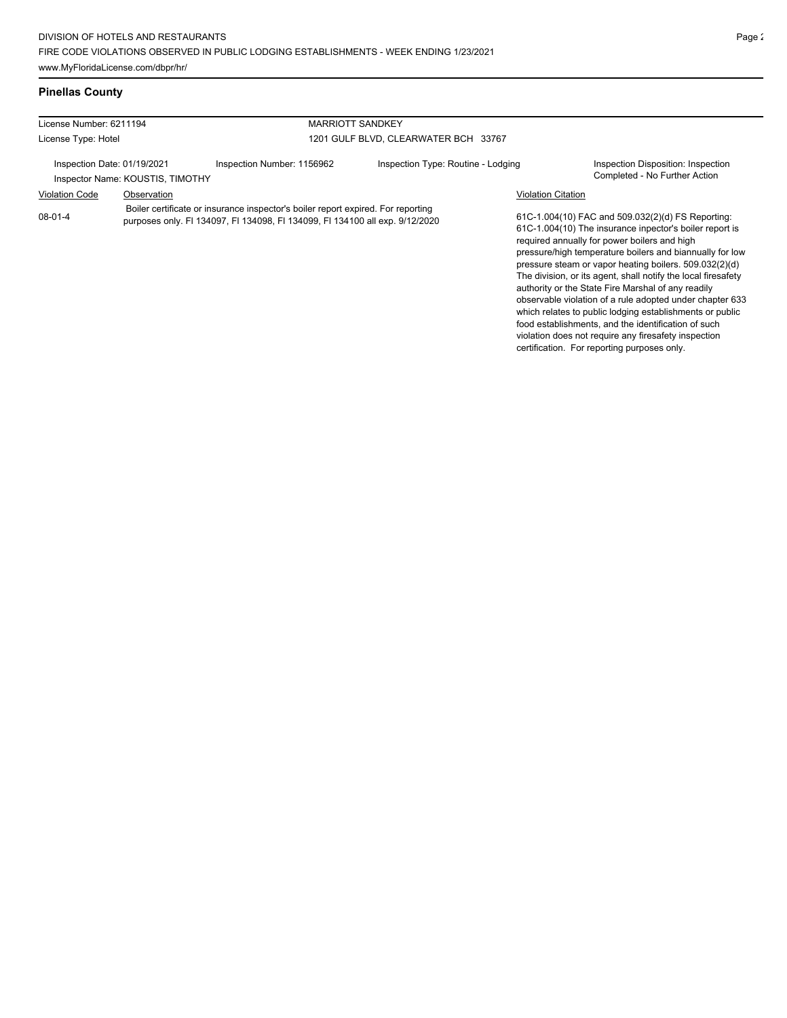| License Number: 6211194 |                                                                 | <b>MARRIOTT SANDKEY</b>                                                                                                                                          |                                    |                           |                                                                                                                                                                                                                                                                                                                                                                                                           |
|-------------------------|-----------------------------------------------------------------|------------------------------------------------------------------------------------------------------------------------------------------------------------------|------------------------------------|---------------------------|-----------------------------------------------------------------------------------------------------------------------------------------------------------------------------------------------------------------------------------------------------------------------------------------------------------------------------------------------------------------------------------------------------------|
| License Type: Hotel     |                                                                 | 1201 GULF BLVD. CLEARWATER BCH 33767                                                                                                                             |                                    |                           |                                                                                                                                                                                                                                                                                                                                                                                                           |
|                         | Inspection Date: 01/19/2021<br>Inspector Name: KOUSTIS, TIMOTHY | Inspection Number: 1156962                                                                                                                                       | Inspection Type: Routine - Lodging |                           | Inspection Disposition: Inspection<br>Completed - No Further Action                                                                                                                                                                                                                                                                                                                                       |
| <b>Violation Code</b>   | Observation                                                     |                                                                                                                                                                  |                                    | <b>Violation Citation</b> |                                                                                                                                                                                                                                                                                                                                                                                                           |
| 08-01-4                 |                                                                 | Boiler certificate or insurance inspector's boiler report expired. For reporting<br>purposes only. FI 134097, FI 134098, FI 134099, FI 134100 all exp. 9/12/2020 |                                    |                           | 61C-1.004(10) FAC and 509.032(2)(d) FS Reporting:<br>61C-1.004(10) The insurance inpector's boiler report is<br>required annually for power boilers and high<br>pressure/high temperature boilers and biannually for low<br>pressure steam or vapor heating boilers. 509.032(2)(d)<br>The division, or its agent, shall notify the local firesafety<br>authority or the State Fire Marshal of any readily |

observable violation of a rule adopted under chapter 633 which relates to public lodging establishments or public food establishments, and the identification of such violation does not require any firesafety inspection certification. For reporting purposes only.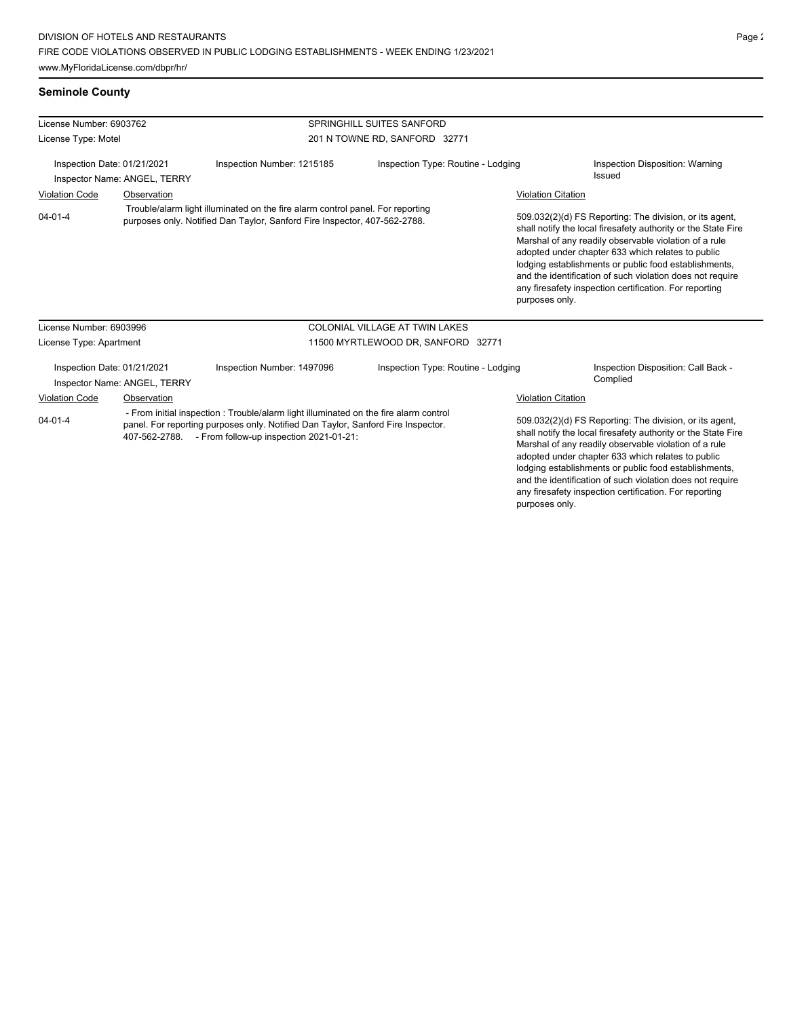| License Number: 6903762<br>License Type: Motel                                                                                                                                                                                                      |                                                             |                                                                                                                                                             | SPRINGHILL SUITES SANFORD             |                                                                                                                                                                                                                                                                                                                                                              |                                                                                                                                                                                                                                                                                                                                                                                                                        |
|-----------------------------------------------------------------------------------------------------------------------------------------------------------------------------------------------------------------------------------------------------|-------------------------------------------------------------|-------------------------------------------------------------------------------------------------------------------------------------------------------------|---------------------------------------|--------------------------------------------------------------------------------------------------------------------------------------------------------------------------------------------------------------------------------------------------------------------------------------------------------------------------------------------------------------|------------------------------------------------------------------------------------------------------------------------------------------------------------------------------------------------------------------------------------------------------------------------------------------------------------------------------------------------------------------------------------------------------------------------|
|                                                                                                                                                                                                                                                     |                                                             |                                                                                                                                                             | 201 N TOWNE RD, SANFORD 32771         |                                                                                                                                                                                                                                                                                                                                                              |                                                                                                                                                                                                                                                                                                                                                                                                                        |
| Inspection Date: 01/21/2021<br>Inspector Name: ANGEL, TERRY                                                                                                                                                                                         |                                                             | Inspection Number: 1215185                                                                                                                                  | Inspection Type: Routine - Lodging    |                                                                                                                                                                                                                                                                                                                                                              | Inspection Disposition: Warning<br><b>Issued</b>                                                                                                                                                                                                                                                                                                                                                                       |
| <b>Violation Code</b>                                                                                                                                                                                                                               | Observation                                                 |                                                                                                                                                             |                                       | <b>Violation Citation</b>                                                                                                                                                                                                                                                                                                                                    |                                                                                                                                                                                                                                                                                                                                                                                                                        |
| $04 - 01 - 4$                                                                                                                                                                                                                                       |                                                             | Trouble/alarm light illuminated on the fire alarm control panel. For reporting<br>purposes only. Notified Dan Taylor, Sanford Fire Inspector, 407-562-2788. |                                       | purposes only.                                                                                                                                                                                                                                                                                                                                               | 509.032(2)(d) FS Reporting: The division, or its agent,<br>shall notify the local firesafety authority or the State Fire<br>Marshal of any readily observable violation of a rule<br>adopted under chapter 633 which relates to public<br>lodging establishments or public food establishments,<br>and the identification of such violation does not require<br>any firesafety inspection certification. For reporting |
| License Number: 6903996                                                                                                                                                                                                                             |                                                             |                                                                                                                                                             | <b>COLONIAL VILLAGE AT TWIN LAKES</b> |                                                                                                                                                                                                                                                                                                                                                              |                                                                                                                                                                                                                                                                                                                                                                                                                        |
| License Type: Apartment                                                                                                                                                                                                                             |                                                             |                                                                                                                                                             | 11500 MYRTLEWOOD DR, SANFORD 32771    |                                                                                                                                                                                                                                                                                                                                                              |                                                                                                                                                                                                                                                                                                                                                                                                                        |
|                                                                                                                                                                                                                                                     | Inspection Date: 01/21/2021<br>Inspector Name: ANGEL, TERRY | Inspection Number: 1497096                                                                                                                                  | Inspection Type: Routine - Lodging    |                                                                                                                                                                                                                                                                                                                                                              | Inspection Disposition: Call Back -<br>Complied                                                                                                                                                                                                                                                                                                                                                                        |
| Violation Code                                                                                                                                                                                                                                      | Observation                                                 |                                                                                                                                                             |                                       | <b>Violation Citation</b>                                                                                                                                                                                                                                                                                                                                    |                                                                                                                                                                                                                                                                                                                                                                                                                        |
| - From initial inspection : Trouble/alarm light illuminated on the fire alarm control<br>$04 - 01 - 4$<br>panel. For reporting purposes only. Notified Dan Taylor, Sanford Fire Inspector.<br>407-562-2788. - From follow-up inspection 2021-01-21: |                                                             |                                                                                                                                                             |                                       | 509.032(2)(d) FS Reporting: The division, or its agent,<br>shall notify the local firesafety authority or the State Fire<br>Marshal of any readily observable violation of a rule<br>adopted under chapter 633 which relates to public<br>lodging establishments or public food establishments,<br>and the identification of such violation does not require |                                                                                                                                                                                                                                                                                                                                                                                                                        |

any firesafety inspection certification. For reporting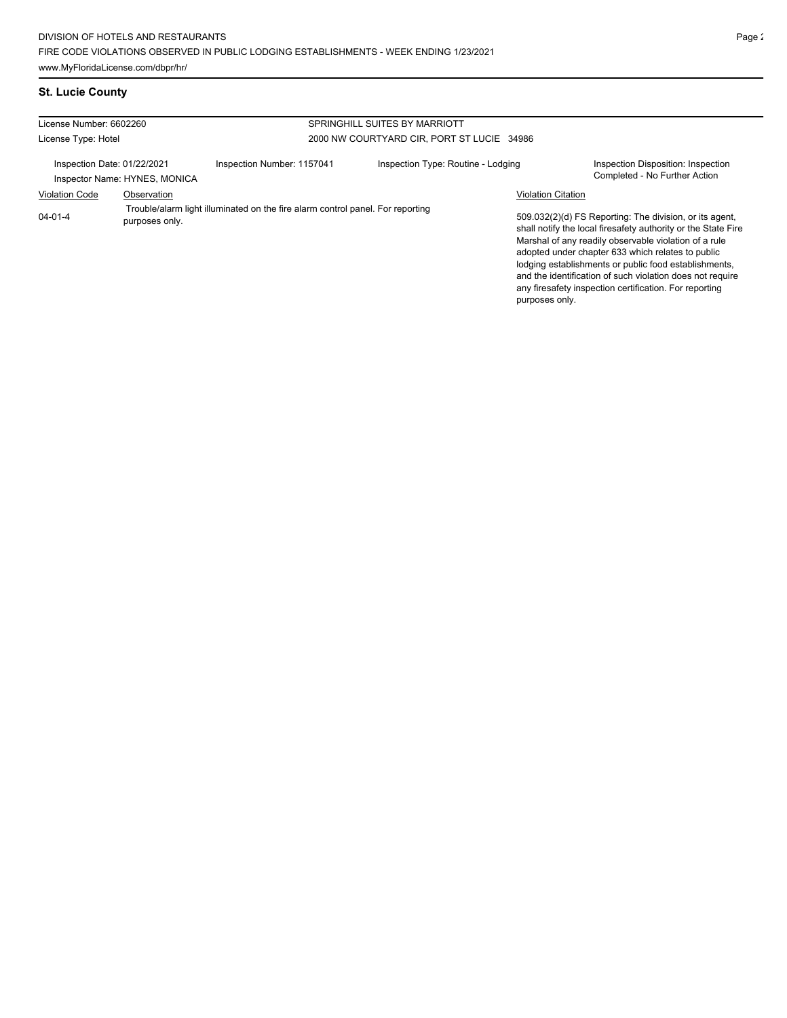| License Number: 6602260     |                               |                                                                                | SPRINGHILL SUITES BY MARRIOTT              |                           |                                                                                                                                                                                                                                                                                                                                                                                                                        |
|-----------------------------|-------------------------------|--------------------------------------------------------------------------------|--------------------------------------------|---------------------------|------------------------------------------------------------------------------------------------------------------------------------------------------------------------------------------------------------------------------------------------------------------------------------------------------------------------------------------------------------------------------------------------------------------------|
| License Type: Hotel         |                               |                                                                                | 2000 NW COURTYARD CIR, PORT ST LUCIE 34986 |                           |                                                                                                                                                                                                                                                                                                                                                                                                                        |
| Inspection Date: 01/22/2021 | Inspector Name: HYNES, MONICA | Inspection Number: 1157041                                                     | Inspection Type: Routine - Lodging         |                           | Inspection Disposition: Inspection<br>Completed - No Further Action                                                                                                                                                                                                                                                                                                                                                    |
| <b>Violation Code</b>       | Observation                   |                                                                                |                                            | <b>Violation Citation</b> |                                                                                                                                                                                                                                                                                                                                                                                                                        |
| $04 - 01 - 4$               | purposes only.                | Trouble/alarm light illuminated on the fire alarm control panel. For reporting |                                            | purposes only.            | 509.032(2)(d) FS Reporting: The division, or its agent,<br>shall notify the local firesafety authority or the State Fire<br>Marshal of any readily observable violation of a rule<br>adopted under chapter 633 which relates to public<br>lodging establishments or public food establishments,<br>and the identification of such violation does not require<br>any firesafety inspection certification. For reporting |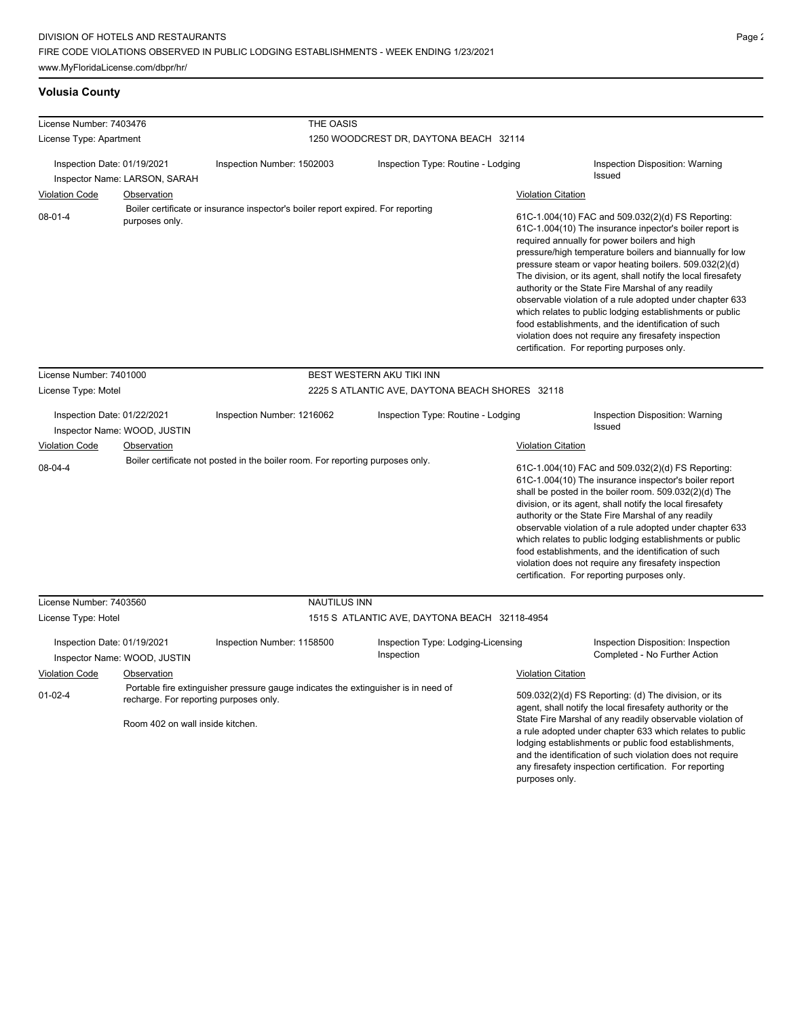# **Volusia County**

| License Number: 7403476<br>License Type: Apartment                                          |                | THE OASIS                                                                                                                                                                                                                                                                                                                                                                                                                                                                                                                                                                                                                                                                                                                                                                                                        |                                                                                    |                           |                                                                                                                                                                                                                                                                                                                                                                                                                                                                                                                                                                              |  |  |
|---------------------------------------------------------------------------------------------|----------------|------------------------------------------------------------------------------------------------------------------------------------------------------------------------------------------------------------------------------------------------------------------------------------------------------------------------------------------------------------------------------------------------------------------------------------------------------------------------------------------------------------------------------------------------------------------------------------------------------------------------------------------------------------------------------------------------------------------------------------------------------------------------------------------------------------------|------------------------------------------------------------------------------------|---------------------------|------------------------------------------------------------------------------------------------------------------------------------------------------------------------------------------------------------------------------------------------------------------------------------------------------------------------------------------------------------------------------------------------------------------------------------------------------------------------------------------------------------------------------------------------------------------------------|--|--|
|                                                                                             |                |                                                                                                                                                                                                                                                                                                                                                                                                                                                                                                                                                                                                                                                                                                                                                                                                                  | 1250 WOODCREST DR, DAYTONA BEACH 32114                                             |                           |                                                                                                                                                                                                                                                                                                                                                                                                                                                                                                                                                                              |  |  |
| Inspection Date: 01/19/2021<br>Inspector Name: LARSON, SARAH                                |                | Inspection Number: 1502003                                                                                                                                                                                                                                                                                                                                                                                                                                                                                                                                                                                                                                                                                                                                                                                       | Inspection Type: Routine - Lodging                                                 |                           | Inspection Disposition: Warning<br><b>Issued</b>                                                                                                                                                                                                                                                                                                                                                                                                                                                                                                                             |  |  |
| <b>Violation Code</b>                                                                       | Observation    |                                                                                                                                                                                                                                                                                                                                                                                                                                                                                                                                                                                                                                                                                                                                                                                                                  |                                                                                    |                           |                                                                                                                                                                                                                                                                                                                                                                                                                                                                                                                                                                              |  |  |
| $08 - 01 - 4$                                                                               | purposes only. | <b>Violation Citation</b><br>Boiler certificate or insurance inspector's boiler report expired. For reporting<br>61C-1.004(10) FAC and 509.032(2)(d) FS Reporting:<br>61C-1.004(10) The insurance inpector's boiler report is<br>required annually for power boilers and high<br>pressure/high temperature boilers and biannually for low<br>pressure steam or vapor heating boilers. 509.032(2)(d)<br>The division, or its agent, shall notify the local firesafety<br>authority or the State Fire Marshal of any readily<br>observable violation of a rule adopted under chapter 633<br>which relates to public lodging establishments or public<br>food establishments, and the identification of such<br>violation does not require any firesafety inspection<br>certification. For reporting purposes only. |                                                                                    |                           |                                                                                                                                                                                                                                                                                                                                                                                                                                                                                                                                                                              |  |  |
| License Number: 7401000                                                                     |                |                                                                                                                                                                                                                                                                                                                                                                                                                                                                                                                                                                                                                                                                                                                                                                                                                  | BEST WESTERN AKU TIKI INN                                                          |                           |                                                                                                                                                                                                                                                                                                                                                                                                                                                                                                                                                                              |  |  |
| License Type: Motel                                                                         |                |                                                                                                                                                                                                                                                                                                                                                                                                                                                                                                                                                                                                                                                                                                                                                                                                                  | 2225 S ATLANTIC AVE, DAYTONA BEACH SHORES 32118                                    |                           |                                                                                                                                                                                                                                                                                                                                                                                                                                                                                                                                                                              |  |  |
| Inspection Date: 01/22/2021<br>Inspector Name: WOOD, JUSTIN                                 |                | Inspection Number: 1216062                                                                                                                                                                                                                                                                                                                                                                                                                                                                                                                                                                                                                                                                                                                                                                                       | Inspection Type: Routine - Lodging                                                 |                           | Inspection Disposition: Warning<br>Issued                                                                                                                                                                                                                                                                                                                                                                                                                                                                                                                                    |  |  |
| <b>Violation Code</b>                                                                       | Observation    |                                                                                                                                                                                                                                                                                                                                                                                                                                                                                                                                                                                                                                                                                                                                                                                                                  |                                                                                    | <b>Violation Citation</b> |                                                                                                                                                                                                                                                                                                                                                                                                                                                                                                                                                                              |  |  |
| 08-04-4                                                                                     |                | Boiler certificate not posted in the boiler room. For reporting purposes only.                                                                                                                                                                                                                                                                                                                                                                                                                                                                                                                                                                                                                                                                                                                                   |                                                                                    |                           | 61C-1.004(10) FAC and 509.032(2)(d) FS Reporting:<br>61C-1.004(10) The insurance inspector's boiler report<br>shall be posted in the boiler room. 509.032(2)(d) The<br>division, or its agent, shall notify the local firesafety<br>authority or the State Fire Marshal of any readily<br>observable violation of a rule adopted under chapter 633<br>which relates to public lodging establishments or public<br>food establishments, and the identification of such<br>violation does not require any firesafety inspection<br>certification. For reporting purposes only. |  |  |
| License Number: 7403560                                                                     |                |                                                                                                                                                                                                                                                                                                                                                                                                                                                                                                                                                                                                                                                                                                                                                                                                                  | <b>NAUTILUS INN</b>                                                                |                           |                                                                                                                                                                                                                                                                                                                                                                                                                                                                                                                                                                              |  |  |
| License Type: Hotel                                                                         |                |                                                                                                                                                                                                                                                                                                                                                                                                                                                                                                                                                                                                                                                                                                                                                                                                                  | 1515 S ATLANTIC AVE, DAYTONA BEACH 32118-4954                                      |                           |                                                                                                                                                                                                                                                                                                                                                                                                                                                                                                                                                                              |  |  |
| Inspection Date: 01/19/2021<br>Inspector Name: WOOD, JUSTIN                                 |                | Inspection Number: 1158500                                                                                                                                                                                                                                                                                                                                                                                                                                                                                                                                                                                                                                                                                                                                                                                       | Inspection Type: Lodging-Licensing<br>Inspection                                   |                           | Inspection Disposition: Inspection<br>Completed - No Further Action                                                                                                                                                                                                                                                                                                                                                                                                                                                                                                          |  |  |
| Violation Code                                                                              | Observation    |                                                                                                                                                                                                                                                                                                                                                                                                                                                                                                                                                                                                                                                                                                                                                                                                                  |                                                                                    | Violation Citation        |                                                                                                                                                                                                                                                                                                                                                                                                                                                                                                                                                                              |  |  |
| $01 - 02 - 4$<br>recharge. For reporting purposes only.<br>Room 402 on wall inside kitchen. |                |                                                                                                                                                                                                                                                                                                                                                                                                                                                                                                                                                                                                                                                                                                                                                                                                                  | Portable fire extinguisher pressure gauge indicates the extinguisher is in need of |                           | 509.032(2)(d) FS Reporting: (d) The division, or its<br>agent, shall notify the local firesafety authority or the<br>State Fire Marshal of any readily observable violation of<br>a rule adopted under chapter 633 which relates to public<br>lodging establishments or public food establishments,<br>and the identification of such violation does not require                                                                                                                                                                                                             |  |  |

any firesafety inspection certification. For reporting